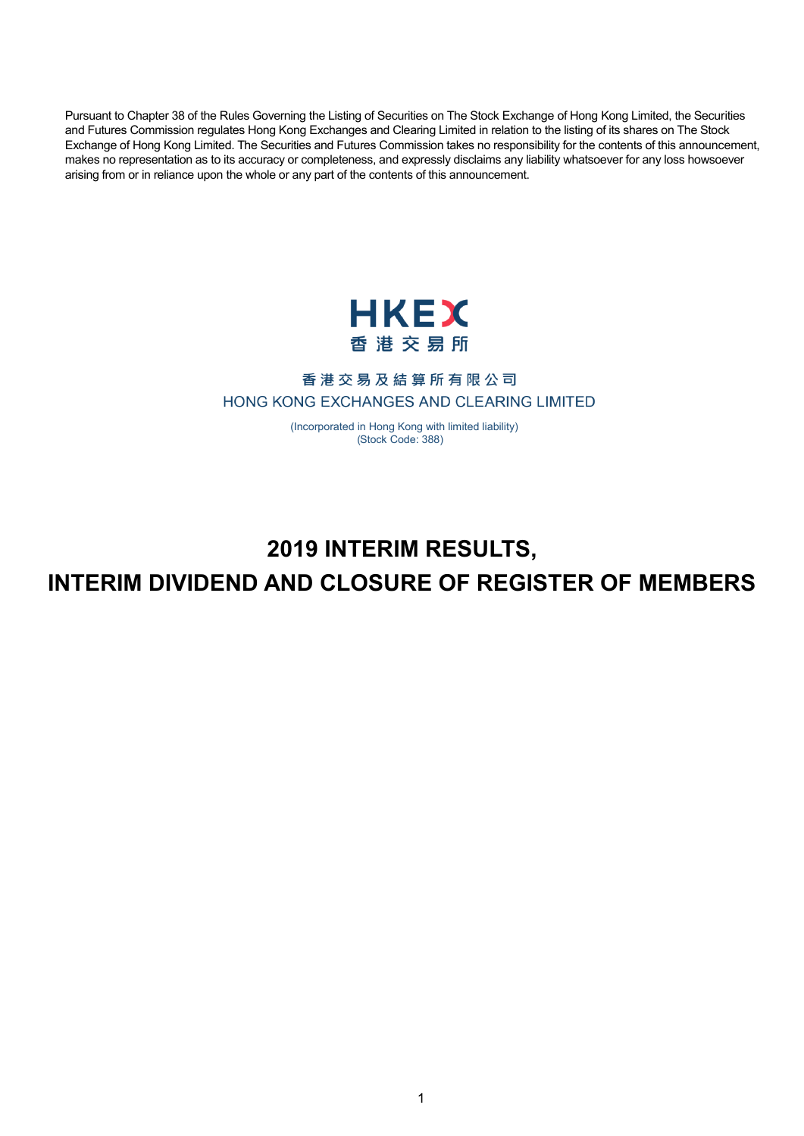Pursuant to Chapter 38 of the Rules Governing the Listing of Securities on The Stock Exchange of Hong Kong Limited, the Securities and Futures Commission regulates Hong Kong Exchanges and Clearing Limited in relation to the listing of its shares on The Stock Exchange of Hong Kong Limited. The Securities and Futures Commission takes no responsibility for the contents of this announcement, makes no representation as to its accuracy or completeness, and expressly disclaims any liability whatsoever for any loss howsoever arising from or in reliance upon the whole or any part of the contents of this announcement.



## 香港交易及結算所有限公司 HONG KONG EXCHANGES AND CLEARING LIMITED

 ( Incorporated in Hong Kong with limited liability) ( Stock Code: 388)

# **2019 INTERIM RESULTS, INTERIM DIVIDEND AND CLOSURE OF REGISTER OF MEMBERS**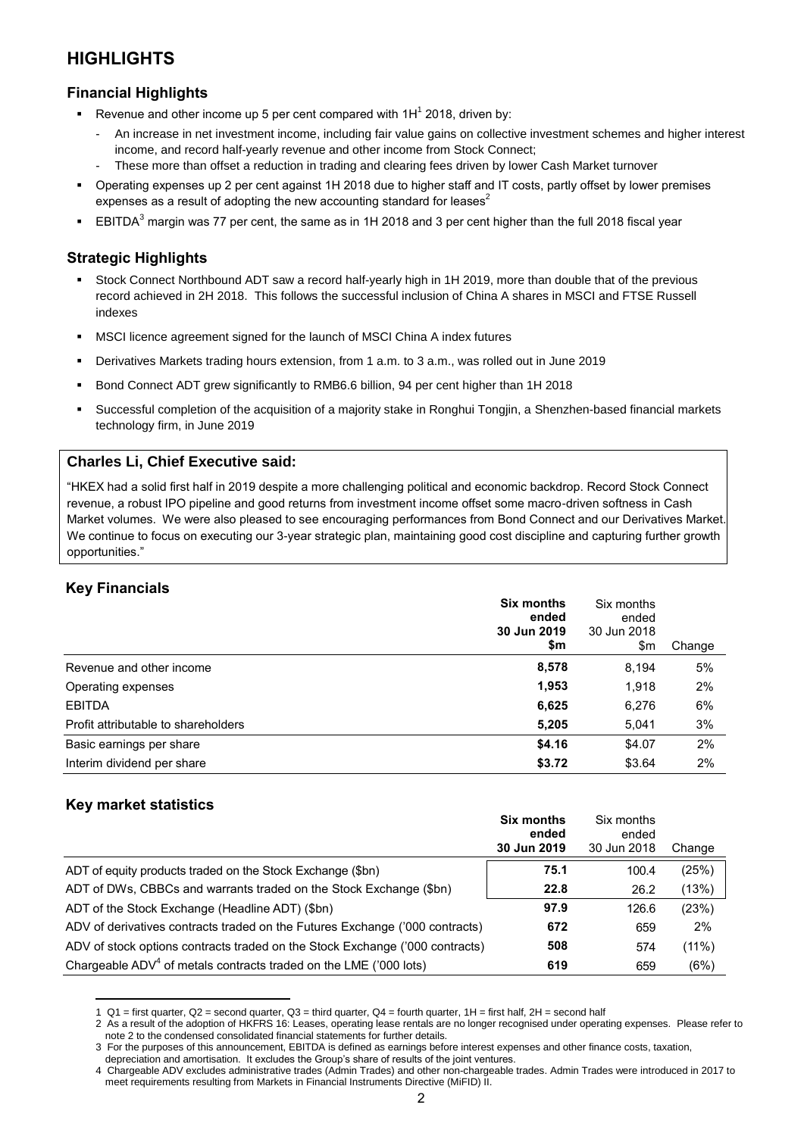## **HIGHLIGHTS**

### **Financial Highlights**

- **Revenue and other income up 5 per cent compared with**  $1H^1$  **2018, driven by:** 
	- An increase in net investment income, including fair value gains on collective investment schemes and higher interest income, and record half-yearly revenue and other income from Stock Connect;
	- These more than offset a reduction in trading and clearing fees driven by lower Cash Market turnover
- Operating expenses up 2 per cent against 1H 2018 due to higher staff and IT costs, partly offset by lower premises expenses as a result of adopting the new accounting standard for leases $2$
- **EBITDA<sup>3</sup>** margin was 77 per cent, the same as in 1H 2018 and 3 per cent higher than the full 2018 fiscal year

#### **Strategic Highlights**

- Stock Connect Northbound ADT saw a record half-yearly high in 1H 2019, more than double that of the previous record achieved in 2H 2018. This follows the successful inclusion of China A shares in MSCI and FTSE Russell indexes
- MSCI licence agreement signed for the launch of MSCI China A index futures
- Derivatives Markets trading hours extension, from 1 a.m. to 3 a.m., was rolled out in June 2019
- Bond Connect ADT grew significantly to RMB6.6 billion, 94 per cent higher than 1H 2018
- Successful completion of the acquisition of a majority stake in Ronghui Tongjin, a Shenzhen-based financial markets technology firm, in June 2019

#### **Charles Li, Chief Executive said:**

"HKEX had a solid first half in 2019 despite a more challenging political and economic backdrop. Record Stock Connect revenue, a robust IPO pipeline and good returns from investment income offset some macro-driven softness in Cash Market volumes. We were also pleased to see encouraging performances from Bond Connect and our Derivatives Market. We continue to focus on executing our 3-year strategic plan, maintaining good cost discipline and capturing further growth opportunities."

## **Key Financials**

|                                     | <b>Six months</b><br>ended<br>30 Jun 2019 | Six months<br>ended<br>30 Jun 2018 |        |
|-------------------------------------|-------------------------------------------|------------------------------------|--------|
|                                     | \$m                                       | \$m                                | Change |
| Revenue and other income            | 8,578                                     | 8,194                              | 5%     |
| Operating expenses                  | 1,953                                     | 1,918                              | 2%     |
| <b>EBITDA</b>                       | 6,625                                     | 6,276                              | 6%     |
| Profit attributable to shareholders | 5,205                                     | 5,041                              | 3%     |
| Basic earnings per share            | \$4.16                                    | \$4.07                             | 2%     |
| Interim dividend per share          | \$3.72                                    | \$3.64                             | 2%     |

## **Key market statistics**

 $\overline{a}$ 

|                                                                              | <b>Six months</b><br>ended | Six months<br>ended |        |
|------------------------------------------------------------------------------|----------------------------|---------------------|--------|
|                                                                              | 30 Jun 2019                | 30 Jun 2018         | Change |
| ADT of equity products traded on the Stock Exchange (\$bn)                   | 75.1                       | 100.4               | (25%)  |
| ADT of DWs, CBBCs and warrants traded on the Stock Exchange (\$bn)           | 22.8                       | 26.2                | (13%)  |
| ADT of the Stock Exchange (Headline ADT) (\$bn)                              | 97.9                       | 126.6               | (23%)  |
| ADV of derivatives contracts traded on the Futures Exchange ('000 contracts) | 672                        | 659                 | 2%     |
| ADV of stock options contracts traded on the Stock Exchange ('000 contracts) | 508                        | 574                 | (11%)  |
| Chargeable $ADV4$ of metals contracts traded on the LME ('000 lots)          | 619                        | 659                 | (6%)   |

<sup>1</sup>  $Q1$  = first quarter,  $Q2$  = second quarter,  $Q3$  = third quarter,  $Q4$  = fourth quarter,  $1H$  = first half,  $2H$  = second half

<sup>2</sup> As a result of the adoption of HKFRS 16: Leases, operating lease rentals are no longer recognised under operating expenses. Please refer to note 2 to the condensed consolidated financial statements for further details.

<sup>3</sup> For the purposes of this announcement, EBITDA is defined as earnings before interest expenses and other finance costs, taxation,

depreciation and amortisation. It excludes the Group's share of results of the joint ventures. 4 Chargeable ADV excludes administrative trades (Admin Trades) and other non-chargeable trades. Admin Trades were introduced in 2017 to meet requirements resulting from Markets in Financial Instruments Directive (MiFID) II.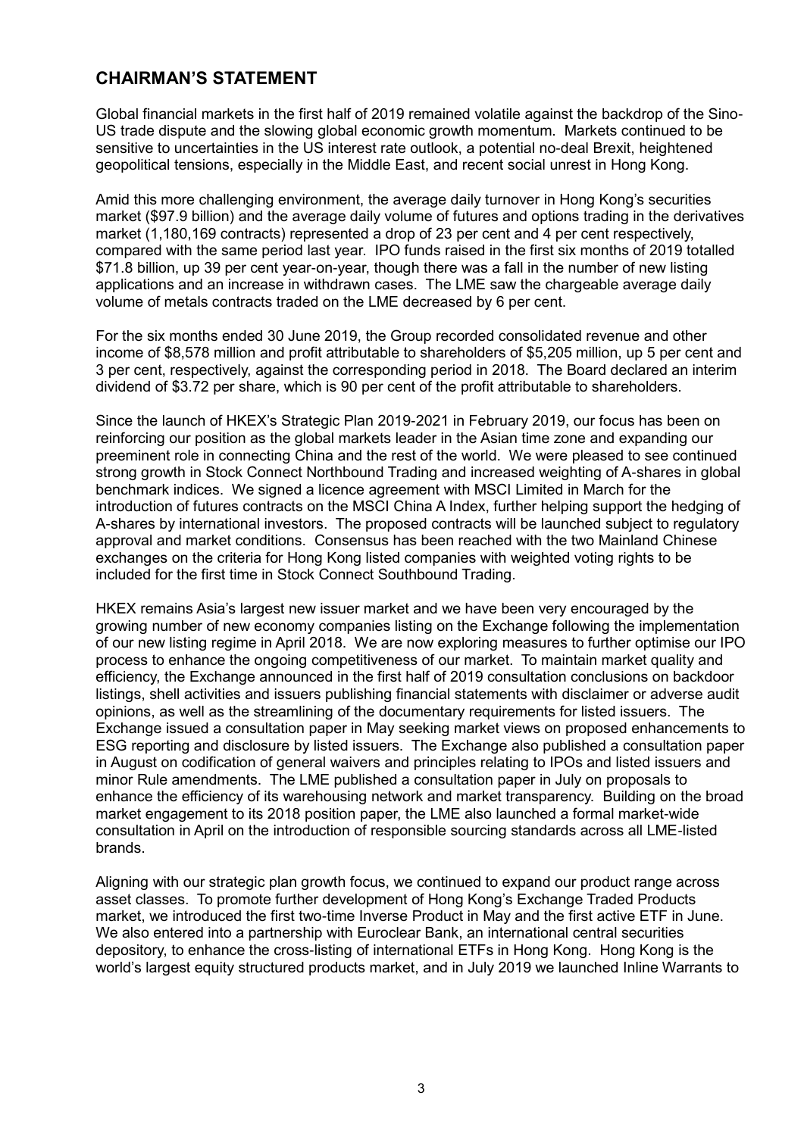## **CHAIRMAN'S STATEMENT**

Global financial markets in the first half of 2019 remained volatile against the backdrop of the Sino-US trade dispute and the slowing global economic growth momentum. Markets continued to be sensitive to uncertainties in the US interest rate outlook, a potential no-deal Brexit, heightened geopolitical tensions, especially in the Middle East, and recent social unrest in Hong Kong.

Amid this more challenging environment, the average daily turnover in Hong Kong's securities market (\$97.9 billion) and the average daily volume of futures and options trading in the derivatives market (1,180,169 contracts) represented a drop of 23 per cent and 4 per cent respectively, compared with the same period last year. IPO funds raised in the first six months of 2019 totalled \$71.8 billion, up 39 per cent year-on-year, though there was a fall in the number of new listing applications and an increase in withdrawn cases. The LME saw the chargeable average daily volume of metals contracts traded on the LME decreased by 6 per cent.

For the six months ended 30 June 2019, the Group recorded consolidated revenue and other income of \$8,578 million and profit attributable to shareholders of \$5,205 million, up 5 per cent and 3 per cent, respectively, against the corresponding period in 2018. The Board declared an interim dividend of \$3.72 per share, which is 90 per cent of the profit attributable to shareholders.

Since the launch of HKEX's Strategic Plan 2019-2021 in February 2019, our focus has been on reinforcing our position as the global markets leader in the Asian time zone and expanding our preeminent role in connecting China and the rest of the world. We were pleased to see continued strong growth in Stock Connect Northbound Trading and increased weighting of A-shares in global benchmark indices. We signed a licence agreement with MSCI Limited in March for the introduction of futures contracts on the MSCI China A Index, further helping support the hedging of A-shares by international investors. The proposed contracts will be launched subject to regulatory approval and market conditions. Consensus has been reached with the two Mainland Chinese exchanges on the criteria for Hong Kong listed companies with weighted voting rights to be included for the first time in Stock Connect Southbound Trading.

HKEX remains Asia's largest new issuer market and we have been very encouraged by the growing number of new economy companies listing on the Exchange following the implementation of our new listing regime in April 2018. We are now exploring measures to further optimise our IPO process to enhance the ongoing competitiveness of our market. To maintain market quality and efficiency, the Exchange announced in the first half of 2019 consultation conclusions on backdoor listings, shell activities and issuers publishing financial statements with disclaimer or adverse audit opinions, as well as the streamlining of the documentary requirements for listed issuers. The Exchange issued a consultation paper in May seeking market views on proposed enhancements to ESG reporting and disclosure by listed issuers. The Exchange also published a consultation paper in August on codification of general waivers and principles relating to IPOs and listed issuers and minor Rule amendments. The LME published a consultation paper in July on proposals to enhance the efficiency of its warehousing network and market transparency. Building on the broad market engagement to its 2018 position paper, the LME also launched a formal market-wide consultation in April on the introduction of responsible sourcing standards across all LME-listed brands.

Aligning with our strategic plan growth focus, we continued to expand our product range across asset classes. To promote further development of Hong Kong's Exchange Traded Products market, we introduced the first two-time Inverse Product in May and the first active ETF in June. We also entered into a partnership with Euroclear Bank, an international central securities depository, to enhance the cross-listing of international ETFs in Hong Kong. Hong Kong is the world's largest equity structured products market, and in July 2019 we launched Inline Warrants to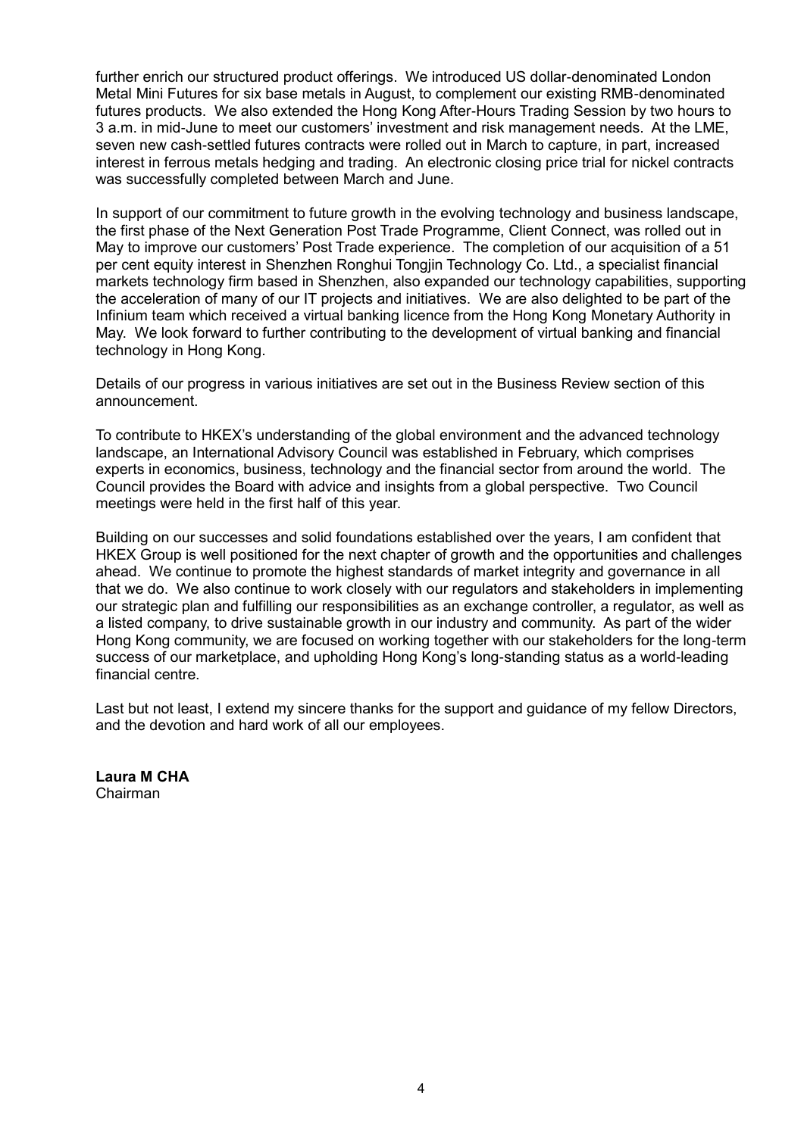further enrich our structured product offerings. We introduced US dollar-denominated London Metal Mini Futures for six base metals in August, to complement our existing RMB-denominated futures products. We also extended the Hong Kong After-Hours Trading Session by two hours to 3 a.m. in mid-June to meet our customers' investment and risk management needs. At the LME, seven new cash-settled futures contracts were rolled out in March to capture, in part, increased interest in ferrous metals hedging and trading. An electronic closing price trial for nickel contracts was successfully completed between March and June.

In support of our commitment to future growth in the evolving technology and business landscape, the first phase of the Next Generation Post Trade Programme, Client Connect, was rolled out in May to improve our customers' Post Trade experience. The completion of our acquisition of a 51 per cent equity interest in Shenzhen Ronghui Tongjin Technology Co. Ltd., a specialist financial markets technology firm based in Shenzhen, also expanded our technology capabilities, supporting the acceleration of many of our IT projects and initiatives. We are also delighted to be part of the Infinium team which received a virtual banking licence from the Hong Kong Monetary Authority in May. We look forward to further contributing to the development of virtual banking and financial technology in Hong Kong.

Details of our progress in various initiatives are set out in the Business Review section of this announcement.

To contribute to HKEX's understanding of the global environment and the advanced technology landscape, an International Advisory Council was established in February, which comprises experts in economics, business, technology and the financial sector from around the world. The Council provides the Board with advice and insights from a global perspective. Two Council meetings were held in the first half of this year.

Building on our successes and solid foundations established over the years, I am confident that HKEX Group is well positioned for the next chapter of growth and the opportunities and challenges ahead. We continue to promote the highest standards of market integrity and governance in all that we do. We also continue to work closely with our regulators and stakeholders in implementing our strategic plan and fulfilling our responsibilities as an exchange controller, a regulator, as well as a listed company, to drive sustainable growth in our industry and community. As part of the wider Hong Kong community, we are focused on working together with our stakeholders for the long-term success of our marketplace, and upholding Hong Kong's long-standing status as a world-leading financial centre.

Last but not least, I extend my sincere thanks for the support and guidance of my fellow Directors, and the devotion and hard work of all our employees.

**Laura M CHA** Chairman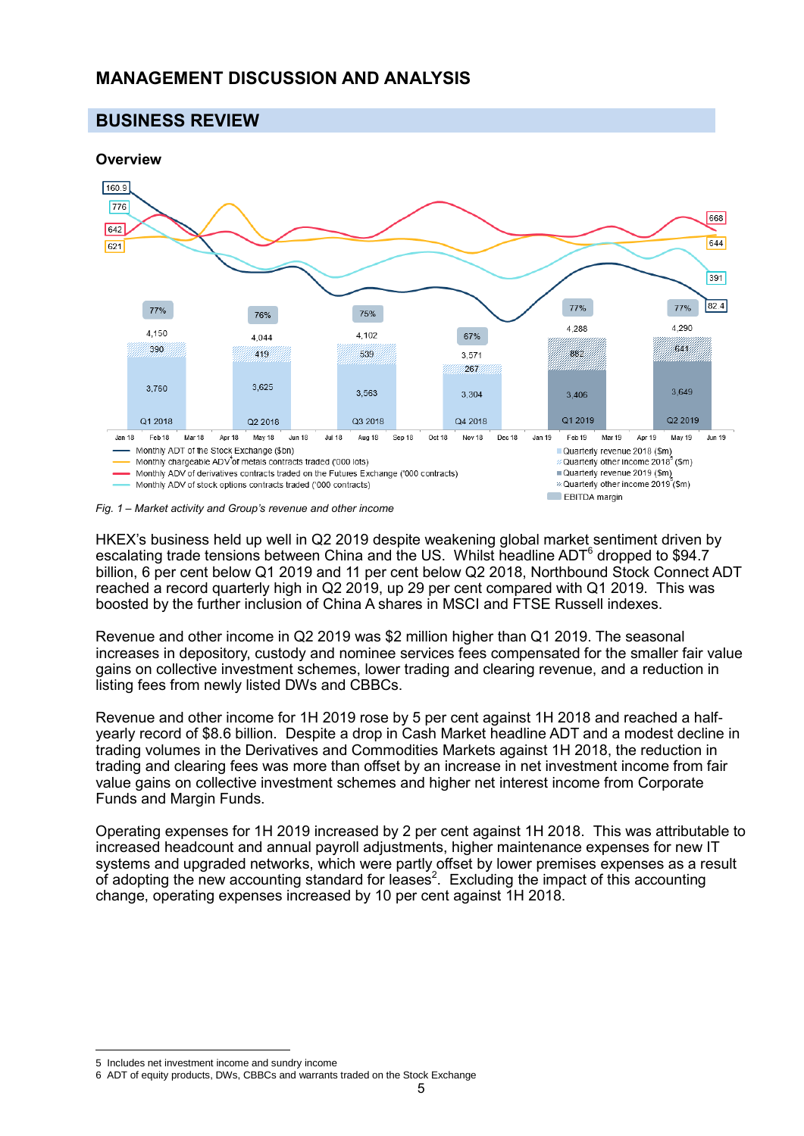## **MANAGEMENT DISCUSSION AND ANALYSIS**

## **BUSINESS REVIEW**



*Fig. 1 – Market activity and Group's revenue and other income<sup>5</sup>*

HKEX's business held up well in Q2 2019 despite weakening global market sentiment driven by escalating trade tensions between China and the US. Whilst headline ADT $^6$  dropped to \$94.7 billion, 6 per cent below Q1 2019 and 11 per cent below Q2 2018, Northbound Stock Connect ADT reached a record quarterly high in Q2 2019, up 29 per cent compared with Q1 2019. This was boosted by the further inclusion of China A shares in MSCI and FTSE Russell indexes.

Revenue and other income in Q2 2019 was \$2 million higher than Q1 2019. The seasonal increases in depository, custody and nominee services fees compensated for the smaller fair value gains on collective investment schemes, lower trading and clearing revenue, and a reduction in listing fees from newly listed DWs and CBBCs.

Revenue and other income for 1H 2019 rose by 5 per cent against 1H 2018 and reached a halfyearly record of \$8.6 billion. Despite a drop in Cash Market headline ADT and a modest decline in trading volumes in the Derivatives and Commodities Markets against 1H 2018, the reduction in trading and clearing fees was more than offset by an increase in net investment income from fair value gains on collective investment schemes and higher net interest income from Corporate Funds and Margin Funds.

Operating expenses for 1H 2019 increased by 2 per cent against 1H 2018. This was attributable to increased headcount and annual payroll adjustments, higher maintenance expenses for new IT systems and upgraded networks, which were partly offset by lower premises expenses as a result of adopting the new accounting standard for leases<sup>2</sup>. Excluding the impact of this accounting change, operating expenses increased by 10 per cent against 1H 2018.

 $\overline{a}$ 5 Includes net investment income and sundry income

<sup>6</sup> ADT of equity products, DWs, CBBCs and warrants traded on the Stock Exchange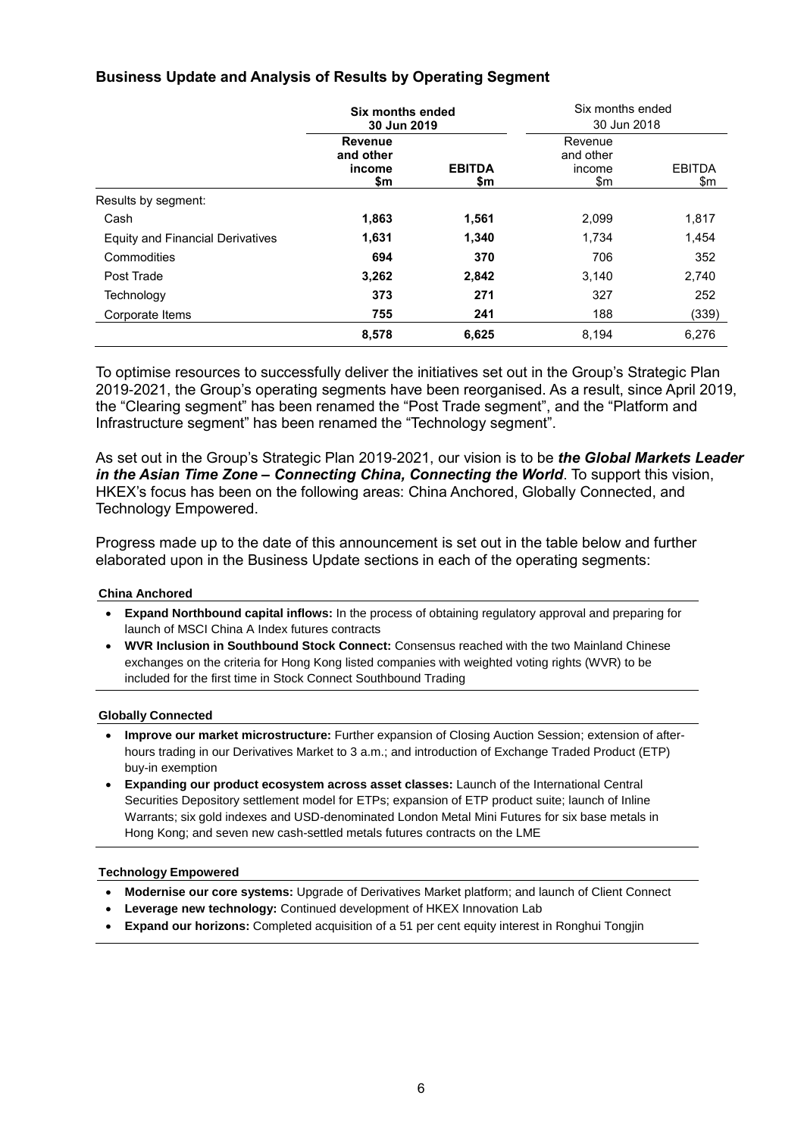## **Business Update and Analysis of Results by Operating Segment**

|                                  | Six months ended<br>30 Jun 2019       |                      | Six months ended<br>30 Jun 2018       |                      |
|----------------------------------|---------------------------------------|----------------------|---------------------------------------|----------------------|
|                                  | Revenue<br>and other<br>income<br>\$m | <b>EBITDA</b><br>\$m | Revenue<br>and other<br>income<br>\$m | <b>EBITDA</b><br>\$m |
| Results by segment:              |                                       |                      |                                       |                      |
| Cash                             | 1,863                                 | 1,561                | 2,099                                 | 1,817                |
| Equity and Financial Derivatives | 1,631                                 | 1,340                | 1,734                                 | 1,454                |
| Commodities                      | 694                                   | 370                  | 706                                   | 352                  |
| Post Trade                       | 3,262                                 | 2,842                | 3,140                                 | 2,740                |
| Technology                       | 373                                   | 271                  | 327                                   | 252                  |
| Corporate Items                  | 755                                   | 241                  | 188                                   | (339)                |
|                                  | 8,578                                 | 6,625                | 8,194                                 | 6,276                |

To optimise resources to successfully deliver the initiatives set out in the Group's Strategic Plan 2019-2021, the Group's operating segments have been reorganised. As a result, since April 2019, the "Clearing segment" has been renamed the "Post Trade segment", and the "Platform and Infrastructure segment" has been renamed the "Technology segment".

As set out in the Group's Strategic Plan 2019-2021, our vision is to be *the Global Markets Leader in the Asian Time Zone – Connecting China, Connecting the World*. To support this vision, HKEX's focus has been on the following areas: China Anchored, Globally Connected, and Technology Empowered.

Progress made up to the date of this announcement is set out in the table below and further elaborated upon in the Business Update sections in each of the operating segments:

#### **China Anchored**

- **Expand Northbound capital inflows:** In the process of obtaining regulatory approval and preparing for launch of MSCI China A Index futures contracts
- **WVR Inclusion in Southbound Stock Connect:** Consensus reached with the two Mainland Chinese exchanges on the criteria for Hong Kong listed companies with weighted voting rights (WVR) to be included for the first time in Stock Connect Southbound Trading

#### **Globally Connected**

- **Improve our market microstructure:** Further expansion of Closing Auction Session; extension of afterhours trading in our Derivatives Market to 3 a.m.; and introduction of Exchange Traded Product (ETP) buy-in exemption
- **Expanding our product ecosystem across asset classes:** Launch of the International Central Securities Depository settlement model for ETPs; expansion of ETP product suite; launch of Inline Warrants; six gold indexes and USD-denominated London Metal Mini Futures for six base metals in Hong Kong; and seven new cash-settled metals futures contracts on the LME

#### **Technology Empowered**

- **Modernise our core systems:** Upgrade of Derivatives Market platform; and launch of Client Connect
- **Leverage new technology:** Continued development of HKEX Innovation Lab
- **Expand our horizons:** Completed acquisition of a 51 per cent equity interest in Ronghui Tongjin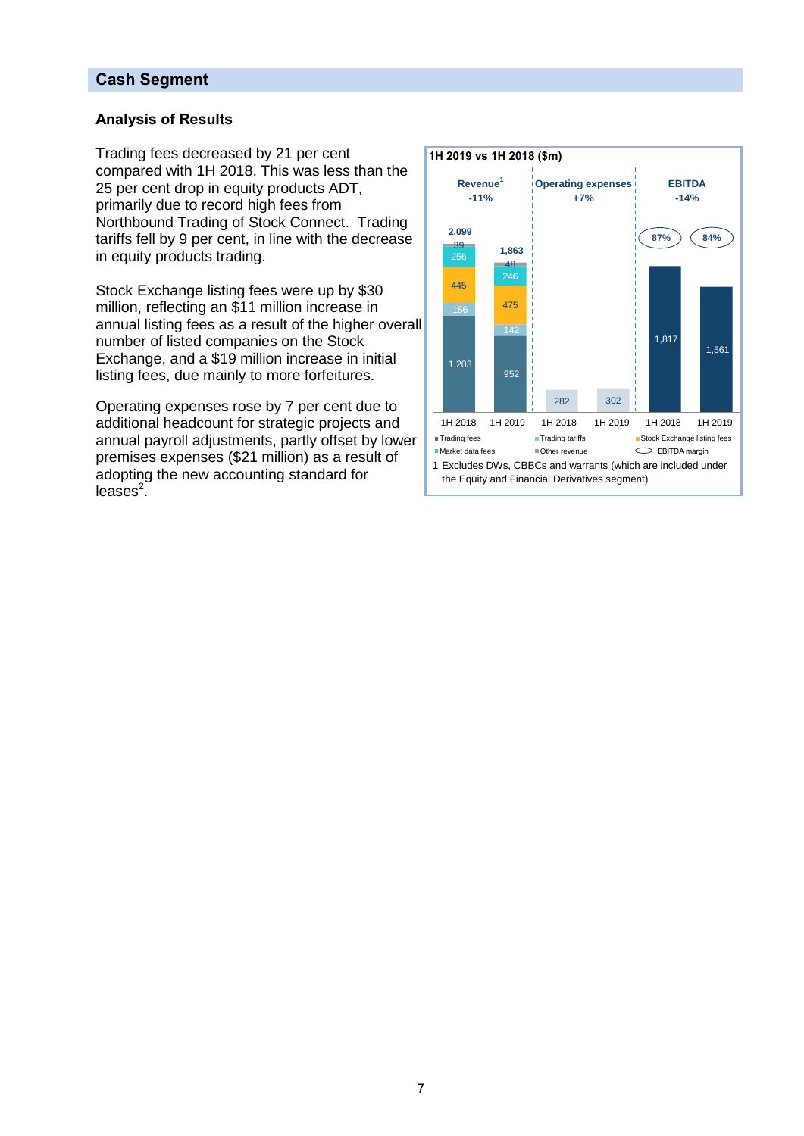## **Cash Segment**

## **Analysis of Results**

Trading fees decreased by 21 per cent compared with 1H 2018. This was less than the 25 per cent drop in equity products ADT, primarily due to record high fees from Northbound Trading of Stock Connect. Trading tariffs fell by 9 per cent, in line with the decrease in equity products trading.

Stock Exchange listing fees were up by \$30 million, reflecting an \$11 million increase in annual listing fees as a result of the higher overall number of listed companies on the Stock Exchange, and a \$19 million increase in initial listing fees, due mainly to more forfeitures.

Operating expenses rose by 7 per cent due to additional headcount for strategic projects and annual payroll adjustments, partly offset by lower premises expenses (\$21 million) as a result of adopting the new accounting standard for  $leases<sup>2</sup>$ .

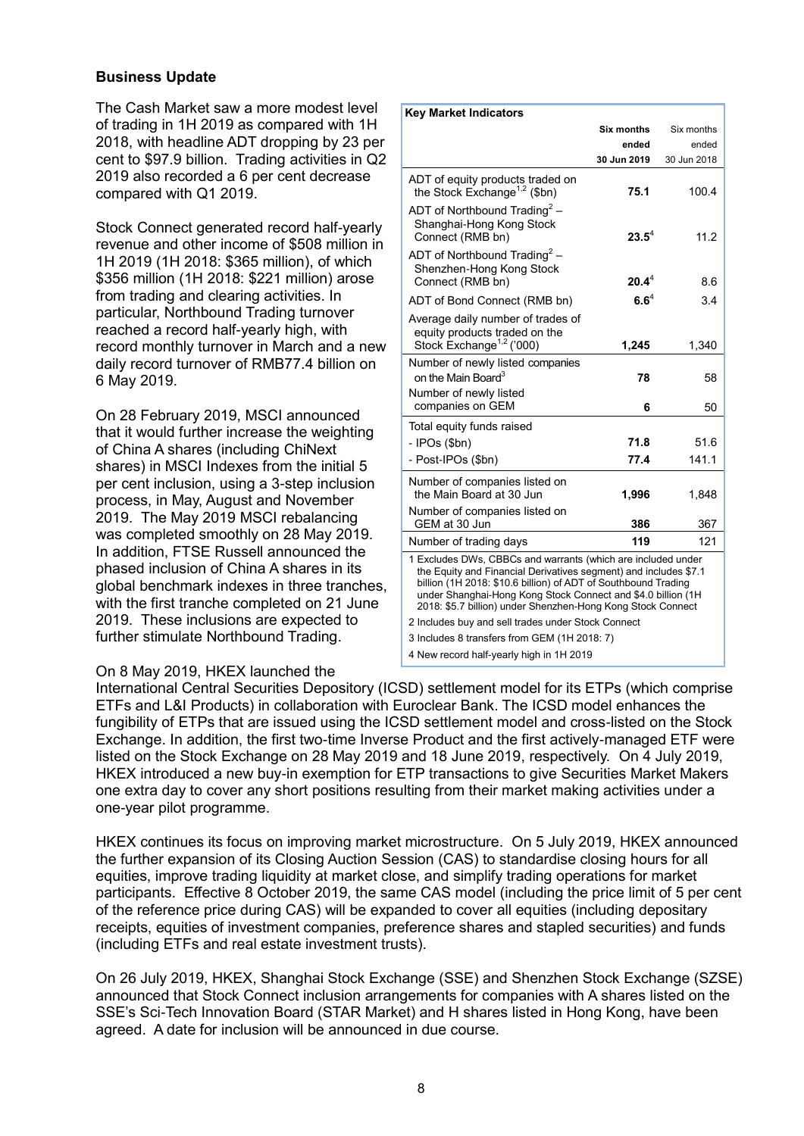## **Business Update**

The Cash Market saw a more modest level of trading in 1H 2019 as compared with 1H 2018, with headline ADT dropping by 23 per cent to \$97.9 billion. Trading activities in Q2 2019 also recorded a 6 per cent decrease compared with Q1 2019.

Stock Connect generated record half-yearly revenue and other income of \$508 million in 1H 2019 (1H 2018: \$365 million), of which \$356 million (1H 2018: \$221 million) arose from trading and clearing activities. In particular, Northbound Trading turnover reached a record half-yearly high, with record monthly turnover in March and a new daily record turnover of RMB77.4 billion on 6 May 2019.

On 28 February 2019, MSCI announced that it would further increase the weighting of China A shares (including ChiNext shares) in MSCI Indexes from the initial 5 per cent inclusion, using a 3-step inclusion process, in May, August and November 2019. The May 2019 MSCI rebalancing was completed smoothly on 28 May 2019. In addition, FTSE Russell announced the phased inclusion of China A shares in its global benchmark indexes in three tranches, with the first tranche completed on 21 June 2019. These inclusions are expected to further stimulate Northbound Trading.

#### **Six months ended 30 Jun 2019**  Six months ended 30 Jun 2018 ADT of equity products traded on the Stock Exchange<sup>1,2</sup> (\$bn) **75.1** 100.4 ADT of Northbound Trading<sup>2</sup> – Shanghai-Hong Kong Stock Connect (RMB bn) **23.5**<sup>4</sup> 11.2 ADT of Northbound Trading<sup>2</sup> – Shenzhen-Hong Kong Stock Connect (RMB bn) **20.4**<sup>4</sup> 8.6 ADT of Bond Connect (RMB bn) **6.6**<sup>4</sup> 3.4 Average daily number of trades of equity products traded on the Stock Exchange<sup>1,2</sup> ('000) **1,245** 1,340 Number of newly listed companies on the Main Board<sup>3</sup> **78** 58 Number of newly listed companies on GEM 6 50 Total equity funds raised - IPOs (\$bn) **71.8** 51.6 - Post-IPOs (\$bn) **77.4** 141.1 Number of companies listed on the Main Board at 30 Jun **1,996** 1,848 Number of companies listed on GEM at 30 Jun **386** 367 Number of trading days **119** 121 1 Excludes DWs, CBBCs and warrants (which are included under the Equity and Financial Derivatives segment) and includes \$7.1 billion (1H 2018: \$10.6 billion) of ADT of Southbound Trading under Shanghai-Hong Kong Stock Connect and \$4.0 billion (1H 2018: \$5.7 billion) under Shenzhen-Hong Kong Stock Connect 2 Includes buy and sell trades under Stock Connect 3 Includes 8 transfers from GEM (1H 2018: 7) 4 New record half-yearly high in 1H 2019

**Key Market Indicators**

#### On 8 May 2019, HKEX launched the

International Central Securities Depository (ICSD) settlement model for its ETPs (which comprise ETFs and L&I Products) in collaboration with Euroclear Bank. The ICSD model enhances the fungibility of ETPs that are issued using the ICSD settlement model and cross-listed on the Stock Exchange. In addition, the first two-time Inverse Product and the first actively-managed ETF were listed on the Stock Exchange on 28 May 2019 and 18 June 2019, respectively. On 4 July 2019, HKEX introduced a new buy-in exemption for ETP transactions to give Securities Market Makers one extra day to cover any short positions resulting from their market making activities under a one-year pilot programme.

HKEX continues its focus on improving market microstructure. On 5 July 2019, HKEX announced the further expansion of its Closing Auction Session (CAS) to standardise closing hours for all equities, improve trading liquidity at market close, and simplify trading operations for market participants. Effective 8 October 2019, the same CAS model (including the price limit of 5 per cent of the reference price during CAS) will be expanded to cover all equities (including depositary receipts, equities of investment companies, preference shares and stapled securities) and funds (including ETFs and real estate investment trusts).

On 26 July 2019, HKEX, Shanghai Stock Exchange (SSE) and Shenzhen Stock Exchange (SZSE) announced that Stock Connect inclusion arrangements for companies with A shares listed on the SSE's Sci-Tech Innovation Board (STAR Market) and H shares listed in Hong Kong, have been agreed. A date for inclusion will be announced in due course.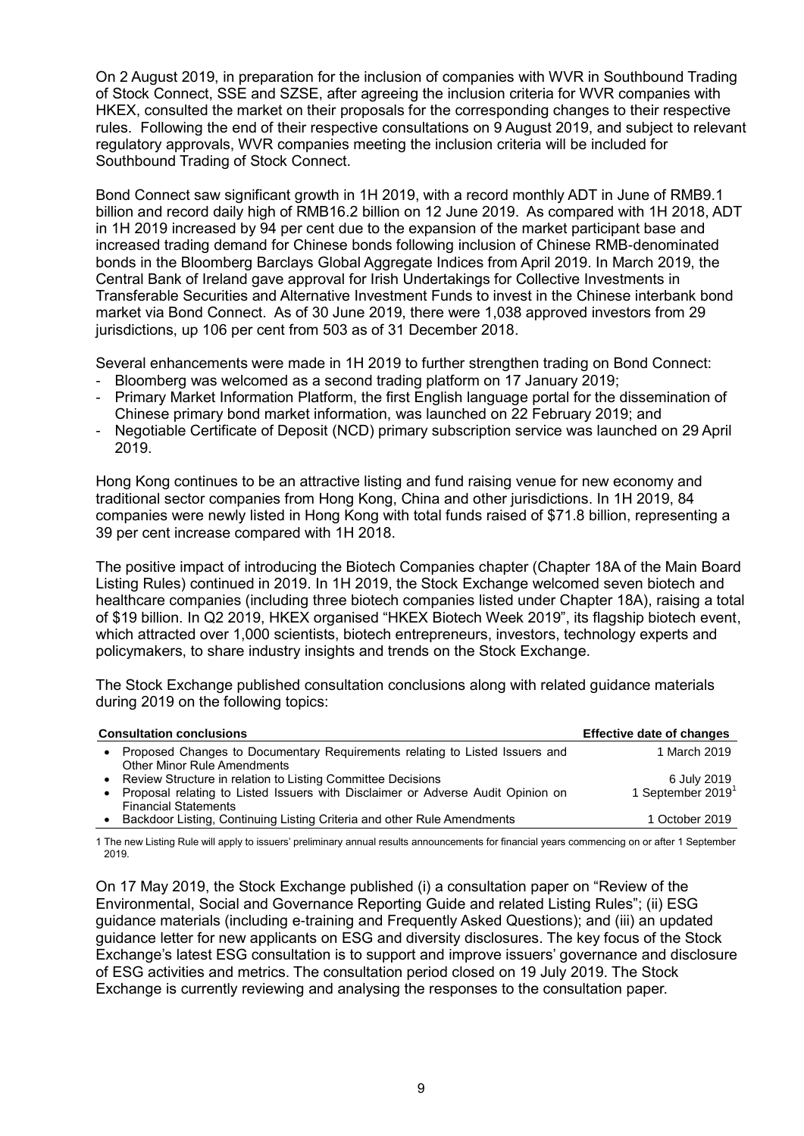On 2 August 2019, in preparation for the inclusion of companies with WVR in Southbound Trading of Stock Connect, SSE and SZSE, after agreeing the inclusion criteria for WVR companies with HKEX, consulted the market on their proposals for the corresponding changes to their respective rules. Following the end of their respective consultations on 9 August 2019, and subject to relevant regulatory approvals, WVR companies meeting the inclusion criteria will be included for Southbound Trading of Stock Connect.

Bond Connect saw significant growth in 1H 2019, with a record monthly ADT in June of RMB9.1 billion and record daily high of RMB16.2 billion on 12 June 2019. As compared with 1H 2018, ADT in 1H 2019 increased by 94 per cent due to the expansion of the market participant base and increased trading demand for Chinese bonds following inclusion of Chinese RMB-denominated bonds in the Bloomberg Barclays Global Aggregate Indices from April 2019. In March 2019, the Central Bank of Ireland gave approval for Irish Undertakings for Collective Investments in Transferable Securities and Alternative Investment Funds to invest in the Chinese interbank bond market via Bond Connect. As of 30 June 2019, there were 1,038 approved investors from 29 jurisdictions, up 106 per cent from 503 as of 31 December 2018.

Several enhancements were made in 1H 2019 to further strengthen trading on Bond Connect:

- Bloomberg was welcomed as a second trading platform on 17 January 2019;
- Primary Market Information Platform, the first English language portal for the dissemination of Chinese primary bond market information, was launched on 22 February 2019; and
- Negotiable Certificate of Deposit (NCD) primary subscription service was launched on 29 April 2019.

Hong Kong continues to be an attractive listing and fund raising venue for new economy and traditional sector companies from Hong Kong, China and other jurisdictions. In 1H 2019, 84 companies were newly listed in Hong Kong with total funds raised of \$71.8 billion, representing a 39 per cent increase compared with 1H 2018.

The positive impact of introducing the Biotech Companies chapter (Chapter 18A of the Main Board Listing Rules) continued in 2019. In 1H 2019, the Stock Exchange welcomed seven biotech and healthcare companies (including three biotech companies listed under Chapter 18A), raising a total of \$19 billion. In Q2 2019, HKEX organised "HKEX Biotech Week 2019", its flagship biotech event, which attracted over 1,000 scientists, biotech entrepreneurs, investors, technology experts and policymakers, to share industry insights and trends on the Stock Exchange.

The Stock Exchange published consultation conclusions along with related guidance materials during 2019 on the following topics:

|           | <b>Consultation conclusions</b>                                                                                                                                               | <b>Effective date of changes</b> |
|-----------|-------------------------------------------------------------------------------------------------------------------------------------------------------------------------------|----------------------------------|
|           | Proposed Changes to Documentary Requirements relating to Listed Issuers and<br><b>Other Minor Rule Amendments</b>                                                             | 1 March 2019                     |
| $\bullet$ | Review Structure in relation to Listing Committee Decisions<br>Proposal relating to Listed Issuers with Disclaimer or Adverse Audit Opinion on<br><b>Financial Statements</b> | 6 July 2019<br>1 September 2019  |
|           | Backdoor Listing, Continuing Listing Criteria and other Rule Amendments                                                                                                       | 1 October 2019                   |

1 The new Listing Rule will apply to issuers' preliminary annual results announcements for financial years commencing on or after 1 September 2019.

On 17 May 2019, the Stock Exchange published (i) a consultation paper on "Review of the Environmental, Social and Governance Reporting Guide and related Listing Rules"; (ii) ESG guidance materials (including e-training and Frequently Asked Questions); and (iii) an updated guidance letter for new applicants on ESG and diversity disclosures. The key focus of the Stock Exchange's latest ESG consultation is to support and improve issuers' governance and disclosure of ESG activities and metrics. The consultation period closed on 19 July 2019. The Stock Exchange is currently reviewing and analysing the responses to the consultation paper.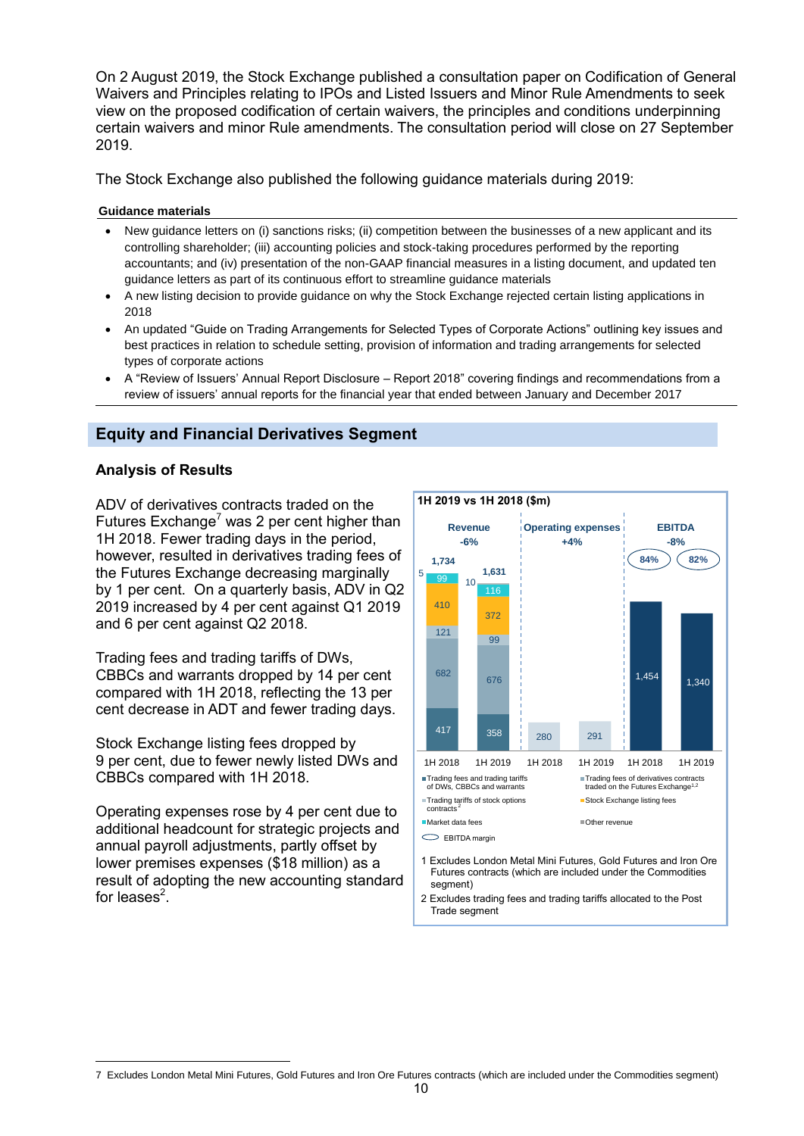On 2 August 2019, the Stock Exchange published a consultation paper on Codification of General Waivers and Principles relating to IPOs and Listed Issuers and Minor Rule Amendments to seek view on the proposed codification of certain waivers, the principles and conditions underpinning certain waivers and minor Rule amendments. The consultation period will close on 27 September 2019.

The Stock Exchange also published the following guidance materials during 2019:

#### **Guidance materials**

- New guidance letters on (i) sanctions risks; (ii) competition between the businesses of a new applicant and its controlling shareholder; (iii) accounting policies and stock-taking procedures performed by the reporting accountants; and (iv) presentation of the non-GAAP financial measures in a listing document, and updated ten guidance letters as part of its continuous effort to streamline guidance materials
- A new listing decision to provide guidance on why the Stock Exchange rejected certain listing applications in 2018
- An updated "Guide on Trading Arrangements for Selected Types of Corporate Actions" outlining key issues and best practices in relation to schedule setting, provision of information and trading arrangements for selected types of corporate actions
- A "Review of Issuers' Annual Report Disclosure Report 2018" covering findings and recommendations from a review of issuers' annual reports for the financial year that ended between January and December 2017

## **Equity and Financial Derivatives Segment**

#### **Analysis of Results**

ADV of derivatives contracts traded on the Futures Exchange<sup>7</sup> was 2 per cent higher than 1H 2018. Fewer trading days in the period, however, resulted in derivatives trading fees of the Futures Exchange decreasing marginally by 1 per cent. On a quarterly basis, ADV in Q2 2019 increased by 4 per cent against Q1 2019 and 6 per cent against Q2 2018.

Trading fees and trading tariffs of DWs, CBBCs and warrants dropped by 14 per cent compared with 1H 2018, reflecting the 13 per cent decrease in ADT and fewer trading days.

Stock Exchange listing fees dropped by 9 per cent, due to fewer newly listed DWs and CBBCs compared with 1H 2018.

Operating expenses rose by 4 per cent due to additional headcount for strategic projects and annual payroll adjustments, partly offset by lower premises expenses (\$18 million) as a result of adopting the new accounting standard for leases<sup>2</sup>.



2 Excludes trading fees and trading tariffs allocated to the Post Trade segment

 $\overline{a}$ 7 Excludes London Metal Mini Futures, Gold Futures and Iron Ore Futures contracts (which are included under the Commodities segment)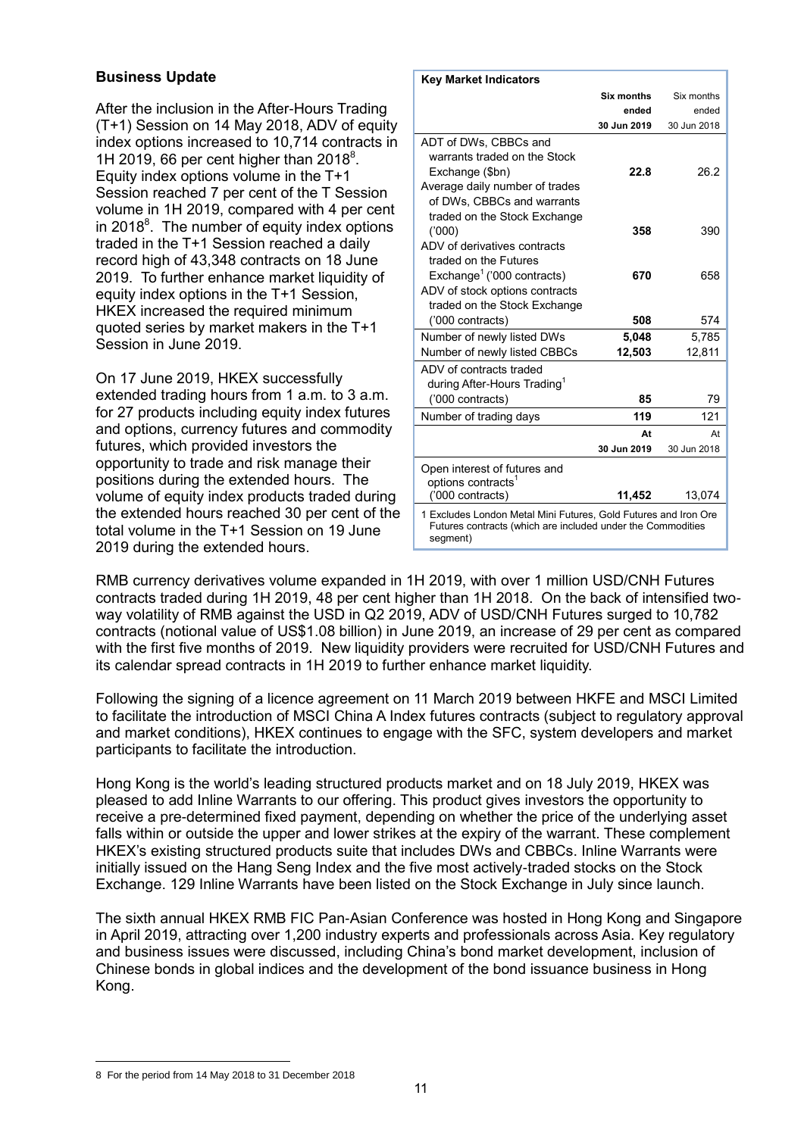## **Business Update**

After the inclusion in the After-Hours Trading (T+1) Session on 14 May 2018, ADV of equity index options increased to 10,714 contracts in 1H 2019, 66 per cent higher than  $2018^8$ . Equity index options volume in the  $T+1$ Session reached 7 per cent of the T Session volume in 1H 2019, compared with 4 per cent in 2018 $^8$ . The number of equity index options traded in the T+1 Session reached a daily record high of 43,348 contracts on 18 June 2019. To further enhance market liquidity of equity index options in the T+1 Session, HKEX increased the required minimum quoted series by market makers in the T+1 Session in June 2019.

On 17 June 2019, HKEX successfully extended trading hours from 1 a.m. to 3 a.m. for 27 products including equity index futures and options, currency futures and commodity futures, which provided investors the opportunity to trade and risk manage their positions during the extended hours. The volume of equity index products traded during the extended hours reached 30 per cent of the total volume in the T+1 Session on 19 June 2019 during the extended hours.

| <b>Key Market Indicators</b>                                                                                                               |             |             |  |
|--------------------------------------------------------------------------------------------------------------------------------------------|-------------|-------------|--|
|                                                                                                                                            | Six months  | Six months  |  |
|                                                                                                                                            | ended       | ended       |  |
|                                                                                                                                            | 30 Jun 2019 | 30 Jun 2018 |  |
| ADT of DWs, CBBCs and<br>warrants traded on the Stock<br>Exchange (\$bn)<br>Average daily number of trades<br>of DWs, CBBCs and warrants   | 22.8        | 26.2        |  |
| traded on the Stock Exchange<br>(000)<br>ADV of derivatives contracts                                                                      | 358         | 390         |  |
| traded on the Futures<br>Exchange <sup>1</sup> ('000 contracts)<br>ADV of stock options contracts<br>traded on the Stock Exchange          | 670         | 658         |  |
| ('000 contracts)                                                                                                                           | 508         | 574         |  |
| Number of newly listed DWs                                                                                                                 | 5,048       | 5,785       |  |
| Number of newly listed CBBCs                                                                                                               | 12,503      | 12,811      |  |
| ADV of contracts traded<br>during After-Hours Trading <sup>1</sup><br>('000 contracts)                                                     | 85          | 79          |  |
| Number of trading days                                                                                                                     | 119         | 121         |  |
|                                                                                                                                            | At          | At          |  |
|                                                                                                                                            | 30 Jun 2019 | 30 Jun 2018 |  |
| Open interest of futures and<br>options contracts <sup>1</sup><br>('000 contracts)                                                         | 11,452      | 13,074      |  |
| 1 Excludes London Metal Mini Futures, Gold Futures and Iron Ore<br>Futures contracts (which are included under the Commodities<br>segment) |             |             |  |

RMB currency derivatives volume expanded in 1H 2019, with over 1 million USD/CNH Futures contracts traded during 1H 2019, 48 per cent higher than 1H 2018. On the back of intensified twoway volatility of RMB against the USD in Q2 2019, ADV of USD/CNH Futures surged to 10,782 contracts (notional value of US\$1.08 billion) in June 2019, an increase of 29 per cent as compared with the first five months of 2019. New liquidity providers were recruited for USD/CNH Futures and its calendar spread contracts in 1H 2019 to further enhance market liquidity.

Following the signing of a licence agreement on 11 March 2019 between HKFE and MSCI Limited to facilitate the introduction of MSCI China A Index futures contracts (subject to regulatory approval and market conditions), HKEX continues to engage with the SFC, system developers and market participants to facilitate the introduction.

Hong Kong is the world's leading structured products market and on 18 July 2019, HKEX was pleased to add Inline Warrants to our offering. This product gives investors the opportunity to receive a pre-determined fixed payment, depending on whether the price of the underlying asset falls within or outside the upper and lower strikes at the expiry of the warrant. These complement HKEX's existing structured products suite that includes DWs and CBBCs. Inline Warrants were initially issued on the Hang Seng Index and the five most actively-traded stocks on the Stock Exchange. 129 Inline Warrants have been listed on the Stock Exchange in July since launch.

The sixth annual HKEX RMB FIC Pan-Asian Conference was hosted in Hong Kong and Singapore in April 2019, attracting over 1,200 industry experts and professionals across Asia. Key regulatory and business issues were discussed, including China's bond market development, inclusion of Chinese bonds in global indices and the development of the bond issuance business in Hong Kong.

 $\overline{a}$ 8 For the period from 14 May 2018 to 31 December 2018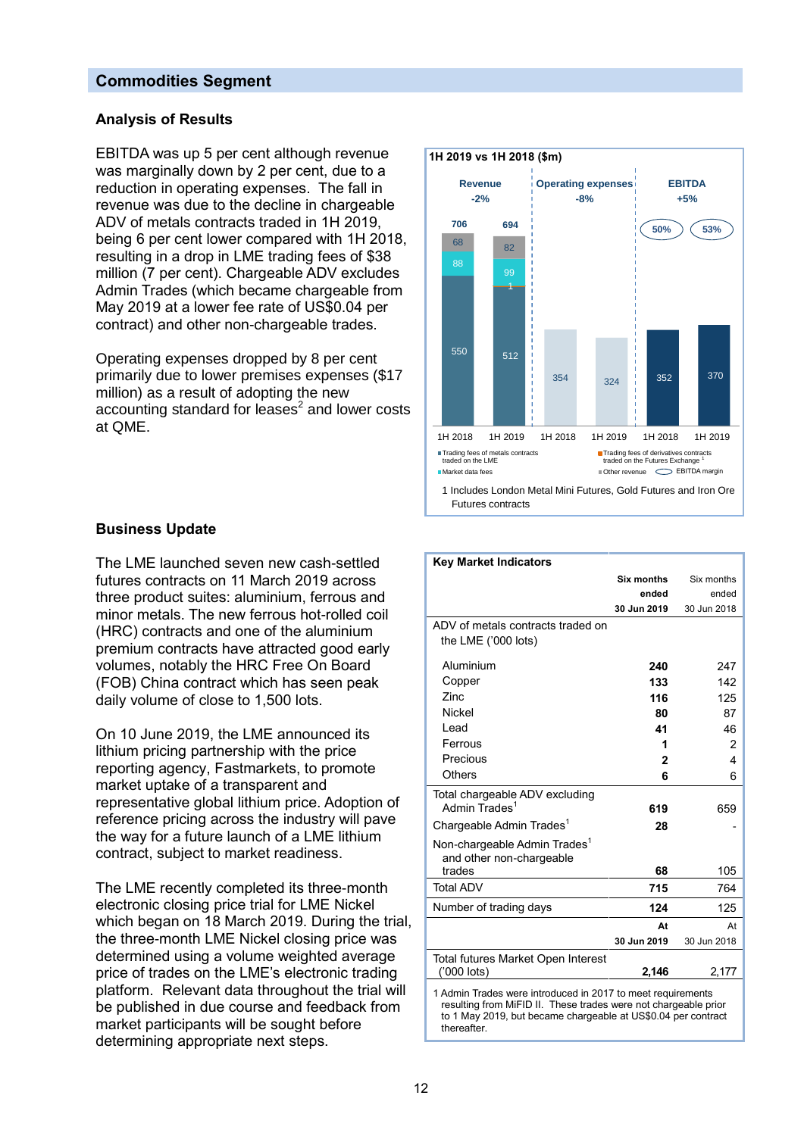## **Commodities Segment**

### **Analysis of Results**

EBITDA was up 5 per cent although revenue was marginally down by 2 per cent, due to a reduction in operating expenses. The fall in revenue was due to the decline in chargeable ADV of metals contracts traded in 1H 2019, being 6 per cent lower compared with 1H 2018, resulting in a drop in LME trading fees of \$38 million (7 per cent). Chargeable ADV excludes Admin Trades (which became chargeable from May 2019 at a lower fee rate of US\$0.04 per contract) and other non-chargeable trades.

Operating expenses dropped by 8 per cent primarily due to lower premises expenses (\$17 million) as a result of adopting the new accounting standard for leases<sup>2</sup> and lower costs at QME.



## **Business Update**

The LME launched seven new cash-settled futures contracts on 11 March 2019 across three product suites: aluminium, ferrous and minor metals. The new ferrous hot-rolled coil (HRC) contracts and one of the aluminium premium contracts have attracted good early volumes, notably the HRC Free On Board (FOB) China contract which has seen peak daily volume of close to 1,500 lots.

On 10 June 2019, the LME announced its lithium pricing partnership with the price reporting agency, Fastmarkets, to promote market uptake of a transparent and representative global lithium price. Adoption of reference pricing across the industry will pave the way for a future launch of a LME lithium contract, subject to market readiness.

The LME recently completed its three-month electronic closing price trial for LME Nickel which began on 18 March 2019. During the trial, the three-month LME Nickel closing price was determined using a volume weighted average price of trades on the LME's electronic trading platform. Relevant data throughout the trial will be published in due course and feedback from market participants will be sought before determining appropriate next steps.

| <b>Key Market Indicators</b>                                                                                                                                                                                  |                |             |  |
|---------------------------------------------------------------------------------------------------------------------------------------------------------------------------------------------------------------|----------------|-------------|--|
|                                                                                                                                                                                                               | Six months     | Six months  |  |
|                                                                                                                                                                                                               | ended          | ended       |  |
|                                                                                                                                                                                                               | 30 Jun 2019    | 30 Jun 2018 |  |
| ADV of metals contracts traded on                                                                                                                                                                             |                |             |  |
| the LME ('000 lots)                                                                                                                                                                                           |                |             |  |
| Aluminium                                                                                                                                                                                                     | 240            | 247         |  |
| Copper                                                                                                                                                                                                        | 133            | 142         |  |
| Zinc.                                                                                                                                                                                                         | 116            | 125         |  |
| <b>Nickel</b>                                                                                                                                                                                                 | 80             | 87          |  |
| Lead                                                                                                                                                                                                          | 41             | 46          |  |
| Ferrous                                                                                                                                                                                                       | 1              |             |  |
| Precious                                                                                                                                                                                                      | $\overline{2}$ | 2<br>4      |  |
| Others                                                                                                                                                                                                        |                |             |  |
|                                                                                                                                                                                                               | 6              | 6           |  |
| Total chargeable ADV excluding<br>Admin Trades <sup>1</sup>                                                                                                                                                   |                |             |  |
|                                                                                                                                                                                                               | 619            | 659         |  |
| Chargeable Admin Trades <sup>1</sup>                                                                                                                                                                          | 28             |             |  |
| Non-chargeable Admin Trades <sup>1</sup>                                                                                                                                                                      |                |             |  |
| and other non-chargeable                                                                                                                                                                                      |                |             |  |
| trades                                                                                                                                                                                                        | 68             | 105         |  |
| <b>Total ADV</b>                                                                                                                                                                                              | 715            | 764         |  |
| Number of trading days                                                                                                                                                                                        | 124            | 125         |  |
|                                                                                                                                                                                                               | At             | At          |  |
|                                                                                                                                                                                                               | 30 Jun 2019    | 30 Jun 2018 |  |
| Total futures Market Open Interest                                                                                                                                                                            |                |             |  |
| ('000 lots)                                                                                                                                                                                                   | 2,146          | 2,177       |  |
| 1 Admin Trades were introduced in 2017 to meet requirements<br>resulting from MiFID II. These trades were not chargeable prior<br>to 1 May 2019, but became chargeable at US\$0.04 per contract<br>thereafter |                |             |  |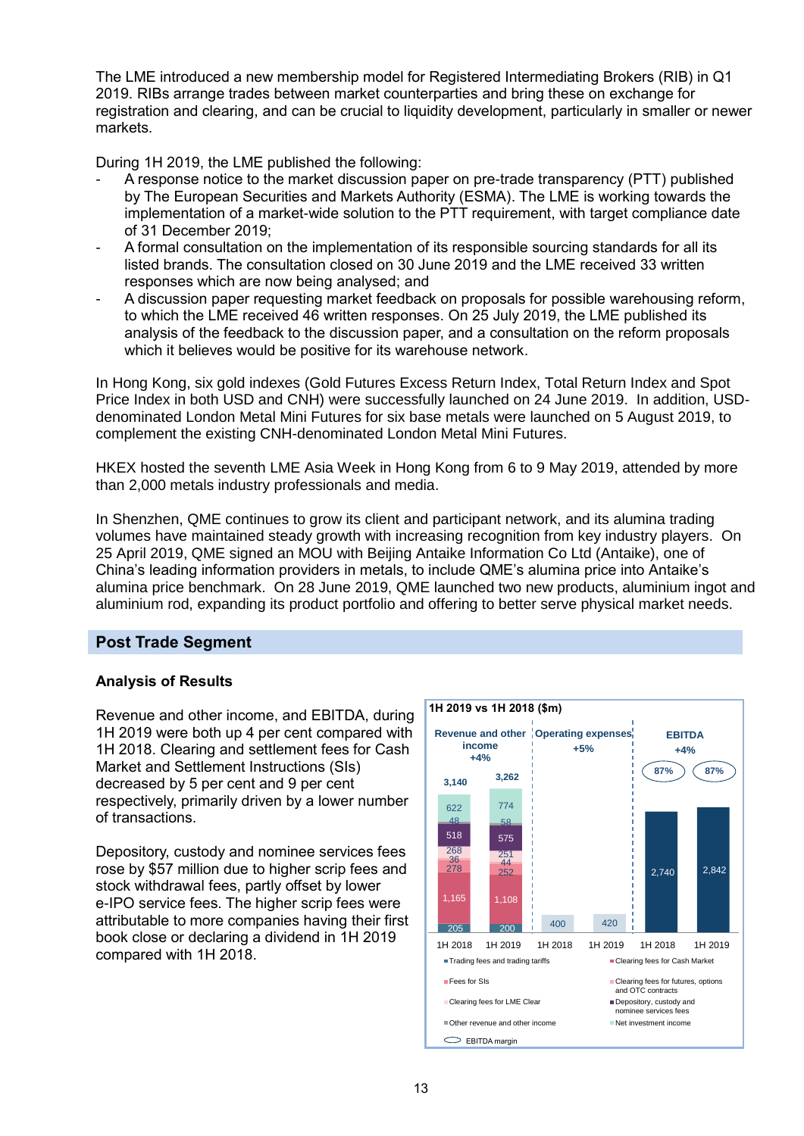The LME introduced a new membership model for Registered Intermediating Brokers (RIB) in Q1 2019. RIBs arrange trades between market counterparties and bring these on exchange for registration and clearing, and can be crucial to liquidity development, particularly in smaller or newer markets.

During 1H 2019, the LME published the following:

- A response notice to the market discussion paper on pre-trade transparency (PTT) published by The European Securities and Markets Authority (ESMA). The LME is working towards the implementation of a market-wide solution to the PTT requirement, with target compliance date of 31 December 2019;
- A formal consultation on the implementation of its responsible sourcing standards for all its listed brands. The consultation closed on 30 June 2019 and the LME received 33 written responses which are now being analysed; and
- A discussion paper requesting market feedback on proposals for possible warehousing reform, to which the LME received 46 written responses. On 25 July 2019, the LME published its analysis of the feedback to the discussion paper, and a consultation on the reform proposals which it believes would be positive for its warehouse network.

In Hong Kong, six gold indexes (Gold Futures Excess Return Index, Total Return Index and Spot Price Index in both USD and CNH) were successfully launched on 24 June 2019. In addition, USDdenominated London Metal Mini Futures for six base metals were launched on 5 August 2019, to complement the existing CNH-denominated London Metal Mini Futures.

HKEX hosted the seventh LME Asia Week in Hong Kong from 6 to 9 May 2019, attended by more than 2,000 metals industry professionals and media.

In Shenzhen, QME continues to grow its client and participant network, and its alumina trading volumes have maintained steady growth with increasing recognition from key industry players. On 25 April 2019, QME signed an MOU with Beijing Antaike Information Co Ltd (Antaike), one of China's leading information providers in metals, to include QME's alumina price into Antaike's alumina price benchmark. On 28 June 2019, QME launched two new products, aluminium ingot and aluminium rod, expanding its product portfolio and offering to better serve physical market needs.

## **Post Trade Segment**

## **Analysis of Results**

Revenue and other income, and EBITDA, during 1H 2019 were both up 4 per cent compared with 1H 2018. Clearing and settlement fees for Cash Market and Settlement Instructions (SIs) decreased by 5 per cent and 9 per cent respectively, primarily driven by a lower number of transactions.

Depository, custody and nominee services fees rose by \$57 million due to higher scrip fees and stock withdrawal fees, partly offset by lower e-IPO service fees. The higher scrip fees were attributable to more companies having their first book close or declaring a dividend in 1H 2019 compared with 1H 2018.

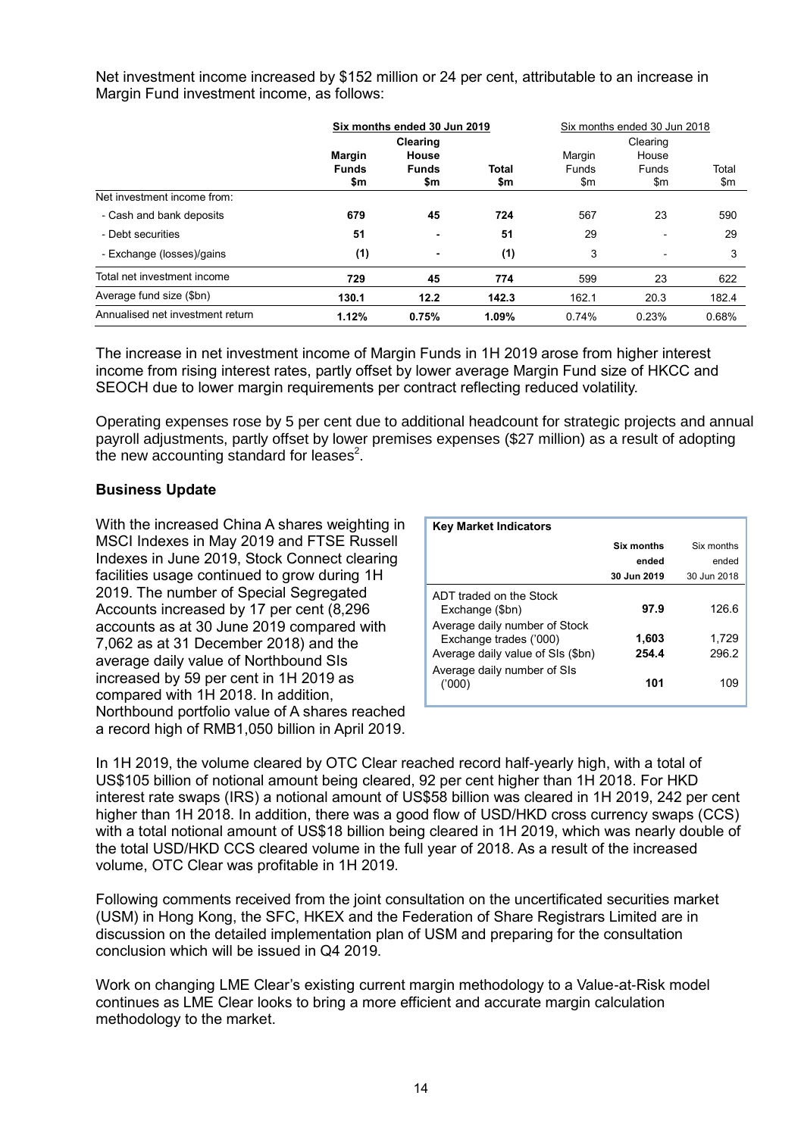Net investment income increased by \$152 million or 24 per cent, attributable to an increase in Margin Fund investment income, as follows:

|                                  | Six months ended 30 Jun 2019 |                | Six months ended 30 Jun 2018 |               |                          |       |
|----------------------------------|------------------------------|----------------|------------------------------|---------------|--------------------------|-------|
|                                  | Clearing                     |                | Clearing                     |               |                          |       |
|                                  | <b>Margin</b>                | House          |                              | Margin        | House                    |       |
|                                  | <b>Funds</b>                 | <b>Funds</b>   | <b>Total</b>                 | Funds         | Funds                    | Total |
|                                  | \$m                          | \$m            | \$m                          | $\mathsf{Sm}$ | \$m                      | \$m   |
| Net investment income from:      |                              |                |                              |               |                          |       |
| - Cash and bank deposits         | 679                          | 45             | 724                          | 567           | 23                       | 590   |
| - Debt securities                | 51                           | $\blacksquare$ | 51                           | 29            |                          | 29    |
| - Exchange (losses)/gains        | (1)                          | ٠              | (1)                          | 3             | $\overline{\phantom{a}}$ | 3     |
| Total net investment income      | 729                          | 45             | 774                          | 599           | 23                       | 622   |
| Average fund size (\$bn)         | 130.1                        | 12.2           | 142.3                        | 162.1         | 20.3                     | 182.4 |
| Annualised net investment return | 1.12%                        | 0.75%          | 1.09%                        | 0.74%         | 0.23%                    | 0.68% |

The increase in net investment income of Margin Funds in 1H 2019 arose from higher interest income from rising interest rates, partly offset by lower average Margin Fund size of HKCC and SEOCH due to lower margin requirements per contract reflecting reduced volatility.

Operating expenses rose by 5 per cent due to additional headcount for strategic projects and annual payroll adjustments, partly offset by lower premises expenses (\$27 million) as a result of adopting the new accounting standard for leases<sup>2</sup>.

#### **Business Update**

With the increased China A shares weighting in MSCI Indexes in May 2019 and FTSE Russell Indexes in June 2019, Stock Connect clearing facilities usage continued to grow during 1H 2019. The number of Special Segregated Accounts increased by 17 per cent (8,296 accounts as at 30 June 2019 compared with 7,062 as at 31 December 2018) and the average daily value of Northbound SIs increased by 59 per cent in 1H 2019 as compared with 1H 2018. In addition, Northbound portfolio value of A shares reached a record high of RMB1,050 billion in April 2019.

| <b>Key Market Indicators</b>                                                                 |                |                |
|----------------------------------------------------------------------------------------------|----------------|----------------|
|                                                                                              | Six months     | Six months     |
|                                                                                              | ended          | ended          |
|                                                                                              | 30 Jun 2019    | 30 Jun 2018    |
| ADT traded on the Stock<br>Exchange (\$bn)                                                   | 97.9           | 126.6          |
| Average daily number of Stock<br>Exchange trades ('000)<br>Average daily value of SIs (\$bn) | 1,603<br>254.4 | 1,729<br>296.2 |
| Average daily number of SIs<br>('000'                                                        | 101            | 109            |

In 1H 2019, the volume cleared by OTC Clear reached record half-yearly high, with a total of US\$105 billion of notional amount being cleared, 92 per cent higher than 1H 2018. For HKD interest rate swaps (IRS) a notional amount of US\$58 billion was cleared in 1H 2019, 242 per cent higher than 1H 2018. In addition, there was a good flow of USD/HKD cross currency swaps (CCS) with a total notional amount of US\$18 billion being cleared in 1H 2019, which was nearly double of the total USD/HKD CCS cleared volume in the full year of 2018. As a result of the increased volume, OTC Clear was profitable in 1H 2019.

Following comments received from the joint consultation on the uncertificated securities market (USM) in Hong Kong, the SFC, HKEX and the Federation of Share Registrars Limited are in discussion on the detailed implementation plan of USM and preparing for the consultation conclusion which will be issued in Q4 2019.

Work on changing LME Clear's existing current margin methodology to a Value-at-Risk model continues as LME Clear looks to bring a more efficient and accurate margin calculation methodology to the market.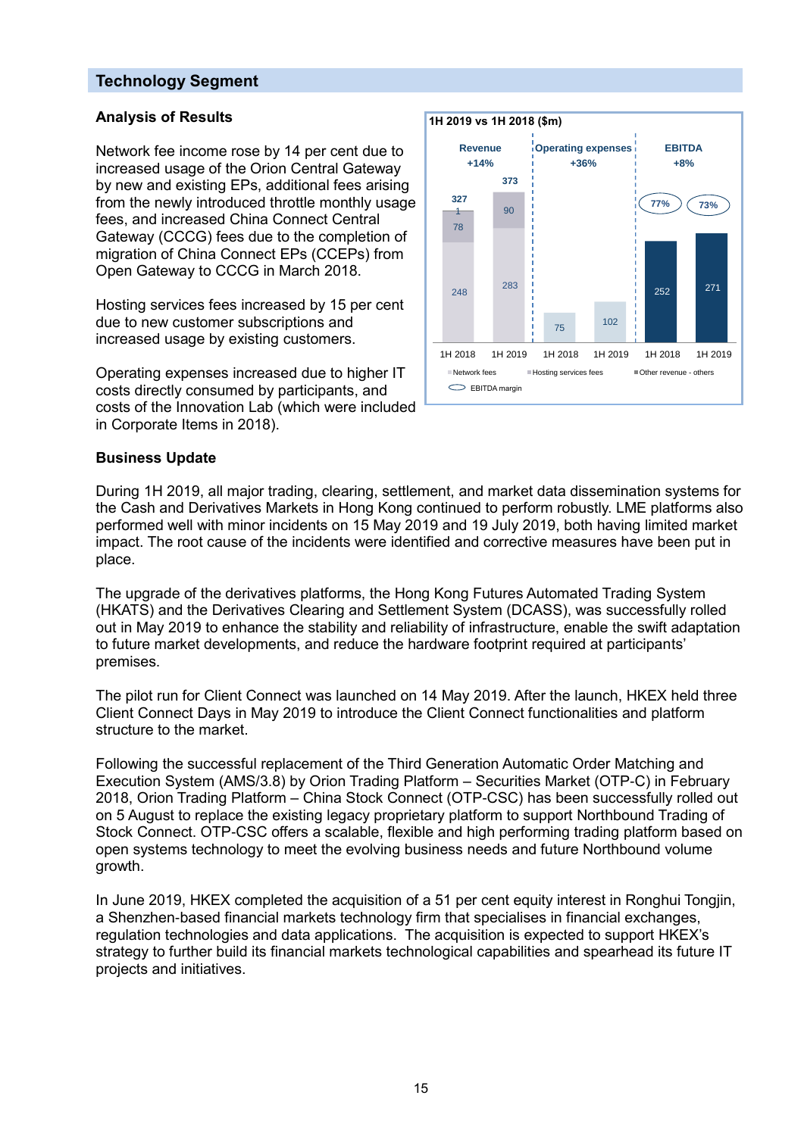## **Technology Segment**

## **Analysis of Results**

Network fee income rose by 14 per cent due to increased usage of the Orion Central Gateway by new and existing EPs, additional fees arising from the newly introduced throttle monthly usage fees, and increased China Connect Central Gateway (CCCG) fees due to the completion of migration of China Connect EPs (CCEPs) from Open Gateway to CCCG in March 2018.

Hosting services fees increased by 15 per cent due to new customer subscriptions and increased usage by existing customers.

Operating expenses increased due to higher IT costs directly consumed by participants, and costs of the Innovation Lab (which were included in Corporate Items in 2018).



## **Business Update**

During 1H 2019, all major trading, clearing, settlement, and market data dissemination systems for the Cash and Derivatives Markets in Hong Kong continued to perform robustly. LME platforms also performed well with minor incidents on 15 May 2019 and 19 July 2019, both having limited market impact. The root cause of the incidents were identified and corrective measures have been put in place.

The upgrade of the derivatives platforms, the Hong Kong Futures Automated Trading System (HKATS) and the Derivatives Clearing and Settlement System (DCASS), was successfully rolled out in May 2019 to enhance the stability and reliability of infrastructure, enable the swift adaptation to future market developments, and reduce the hardware footprint required at participants' premises.

The pilot run for Client Connect was launched on 14 May 2019. After the launch, HKEX held three Client Connect Days in May 2019 to introduce the Client Connect functionalities and platform structure to the market.

Following the successful replacement of the Third Generation Automatic Order Matching and Execution System (AMS/3.8) by Orion Trading Platform – Securities Market (OTP-C) in February 2018, Orion Trading Platform – China Stock Connect (OTP-CSC) has been successfully rolled out on 5 August to replace the existing legacy proprietary platform to support Northbound Trading of Stock Connect. OTP-CSC offers a scalable, flexible and high performing trading platform based on open systems technology to meet the evolving business needs and future Northbound volume growth.

In June 2019, HKEX completed the acquisition of a 51 per cent equity interest in Ronghui Tongjin, a Shenzhen-based financial markets technology firm that specialises in financial exchanges, regulation technologies and data applications. The acquisition is expected to support HKEX's strategy to further build its financial markets technological capabilities and spearhead its future IT projects and initiatives.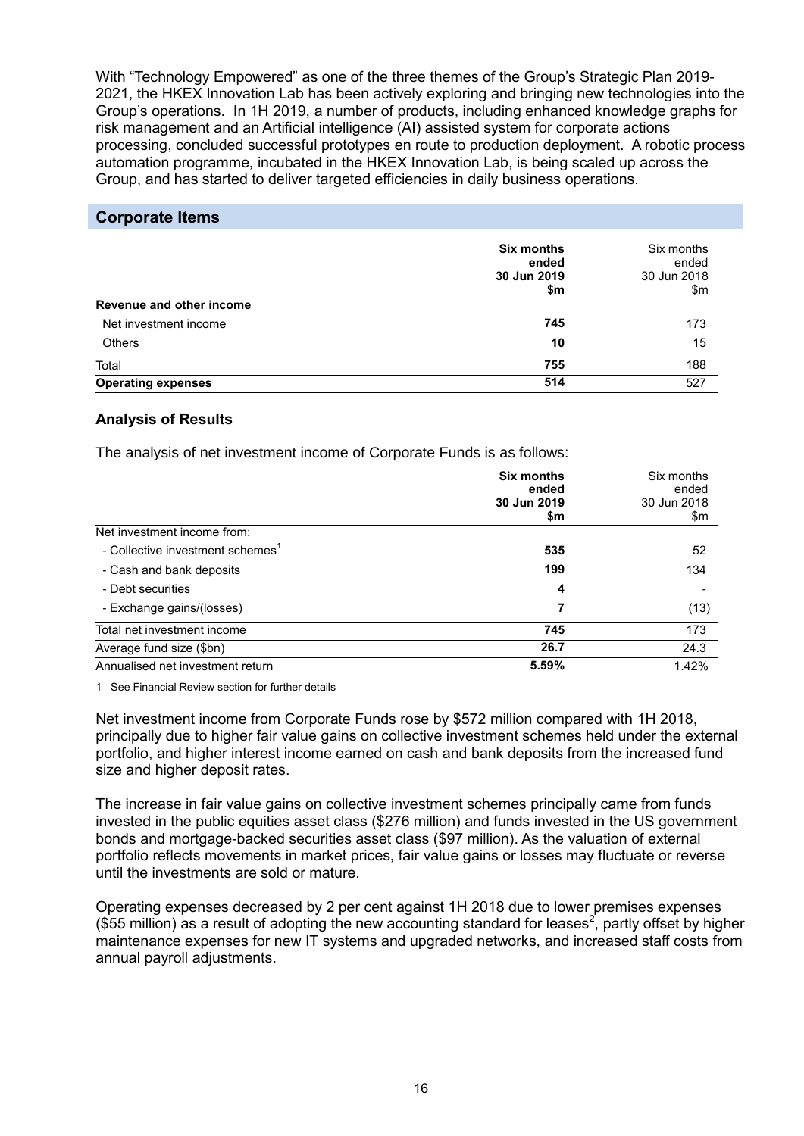With "Technology Empowered" as one of the three themes of the Group's Strategic Plan 2019- 2021, the HKEX Innovation Lab has been actively exploring and bringing new technologies into the Group's operations. In 1H 2019, a number of products, including enhanced knowledge graphs for risk management and an Artificial intelligence (AI) assisted system for corporate actions processing, concluded successful prototypes en route to production deployment. A robotic process automation programme, incubated in the HKEX Innovation Lab, is being scaled up across the Group, and has started to deliver targeted efficiencies in daily business operations.

## **Corporate Items**

|                           | <b>Six months</b><br>ended<br>30 Jun 2019<br>\$m | Six months<br>ended<br>30 Jun 2018<br>\$m |
|---------------------------|--------------------------------------------------|-------------------------------------------|
| Revenue and other income  |                                                  |                                           |
| Net investment income     | 745                                              | 173                                       |
| <b>Others</b>             | 10                                               | 15                                        |
| Total                     | 755                                              | 188                                       |
| <b>Operating expenses</b> | 514                                              | 527                                       |

## **Analysis of Results**

The analysis of net investment income of Corporate Funds is as follows:

|                                              | <b>Six months</b><br>ended<br>30 Jun 2019<br>\$m | Six months<br>ended<br>30 Jun 2018<br>\$m |
|----------------------------------------------|--------------------------------------------------|-------------------------------------------|
| Net investment income from:                  |                                                  |                                           |
| - Collective investment schemes <sup>1</sup> | 535                                              | 52                                        |
| - Cash and bank deposits                     | 199                                              | 134                                       |
| - Debt securities                            | 4                                                |                                           |
| - Exchange gains/(losses)                    | 7                                                | (13)                                      |
| Total net investment income                  | 745                                              | 173                                       |
| Average fund size (\$bn)                     | 26.7                                             | 24.3                                      |
| Annualised net investment return             | 5.59%                                            | 1.42%                                     |

1 See Financial Review section for further details

Net investment income from Corporate Funds rose by \$572 million compared with 1H 2018, principally due to higher fair value gains on collective investment schemes held under the external portfolio, and higher interest income earned on cash and bank deposits from the increased fund size and higher deposit rates.

The increase in fair value gains on collective investment schemes principally came from funds invested in the public equities asset class (\$276 million) and funds invested in the US government bonds and mortgage-backed securities asset class (\$97 million). As the valuation of external portfolio reflects movements in market prices, fair value gains or losses may fluctuate or reverse until the investments are sold or mature.

Operating expenses decreased by 2 per cent against 1H 2018 due to lower premises expenses (\$55 million) as a result of adopting the new accounting standard for leases<sup>2</sup>, partly offset by higher maintenance expenses for new IT systems and upgraded networks, and increased staff costs from annual payroll adjustments.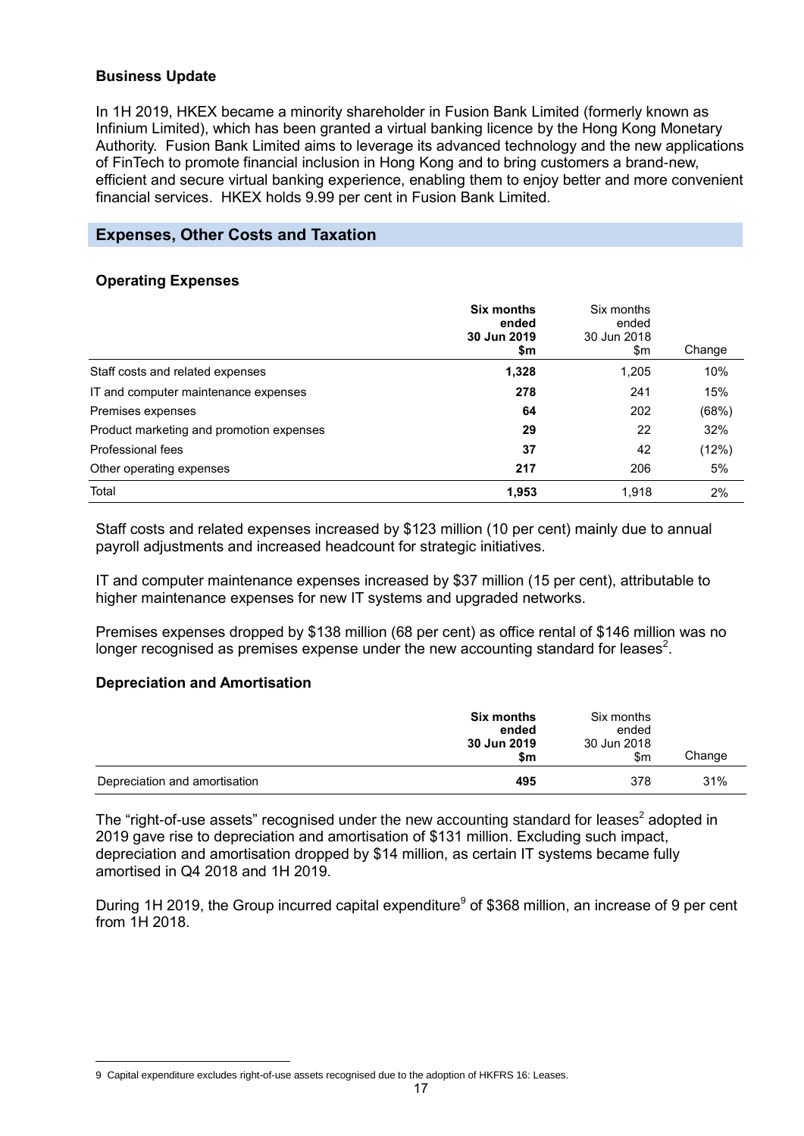## **Business Update**

In 1H 2019, HKEX became a minority shareholder in Fusion Bank Limited (formerly known as Infinium Limited), which has been granted a virtual banking licence by the Hong Kong Monetary Authority. Fusion Bank Limited aims to leverage its advanced technology and the new applications of FinTech to promote financial inclusion in Hong Kong and to bring customers a brand-new, efficient and secure virtual banking experience, enabling them to enjoy better and more convenient financial services. HKEX holds 9.99 per cent in Fusion Bank Limited.

## **Expenses, Other Costs and Taxation**

### **Operating Expenses**

|                                          | <b>Six months</b><br>ended<br>30 Jun 2019<br>\$m | Six months<br>ended<br>30 Jun 2018<br>\$m | Change |
|------------------------------------------|--------------------------------------------------|-------------------------------------------|--------|
| Staff costs and related expenses         | 1,328                                            | 1,205                                     | 10%    |
| IT and computer maintenance expenses     | 278                                              | 241                                       | 15%    |
| Premises expenses                        | 64                                               | 202                                       | (68%)  |
| Product marketing and promotion expenses | 29                                               | 22                                        | 32%    |
| Professional fees                        | 37                                               | 42                                        | (12%)  |
| Other operating expenses                 | 217                                              | 206                                       | 5%     |
| Total                                    | 1,953                                            | 1,918                                     | 2%     |

Staff costs and related expenses increased by \$123 million (10 per cent) mainly due to annual payroll adjustments and increased headcount for strategic initiatives.

IT and computer maintenance expenses increased by \$37 million (15 per cent), attributable to higher maintenance expenses for new IT systems and upgraded networks.

Premises expenses dropped by \$138 million (68 per cent) as office rental of \$146 million was no longer recognised as premises expense under the new accounting standard for leases<sup>2</sup>.

#### **Depreciation and Amortisation**

|                               | <b>Six months</b><br>ended<br>30 Jun 2019<br>\$m | Six months<br>ended<br>30 Jun 2018<br>\$m | Change |
|-------------------------------|--------------------------------------------------|-------------------------------------------|--------|
| Depreciation and amortisation | 495                                              | 378                                       | 31%    |

The "right-of-use assets" recognised under the new accounting standard for leases<sup>2</sup> adopted in 2019 gave rise to depreciation and amortisation of \$131 million. Excluding such impact, depreciation and amortisation dropped by \$14 million, as certain IT systems became fully amortised in Q4 2018 and 1H 2019.

During 1H 2019, the Group incurred capital expenditure<sup>9</sup> of \$368 million, an increase of 9 per cent from 1H 2018.

 $\overline{a}$ 9 Capital expenditure excludes right-of-use assets recognised due to the adoption of HKFRS 16: Leases.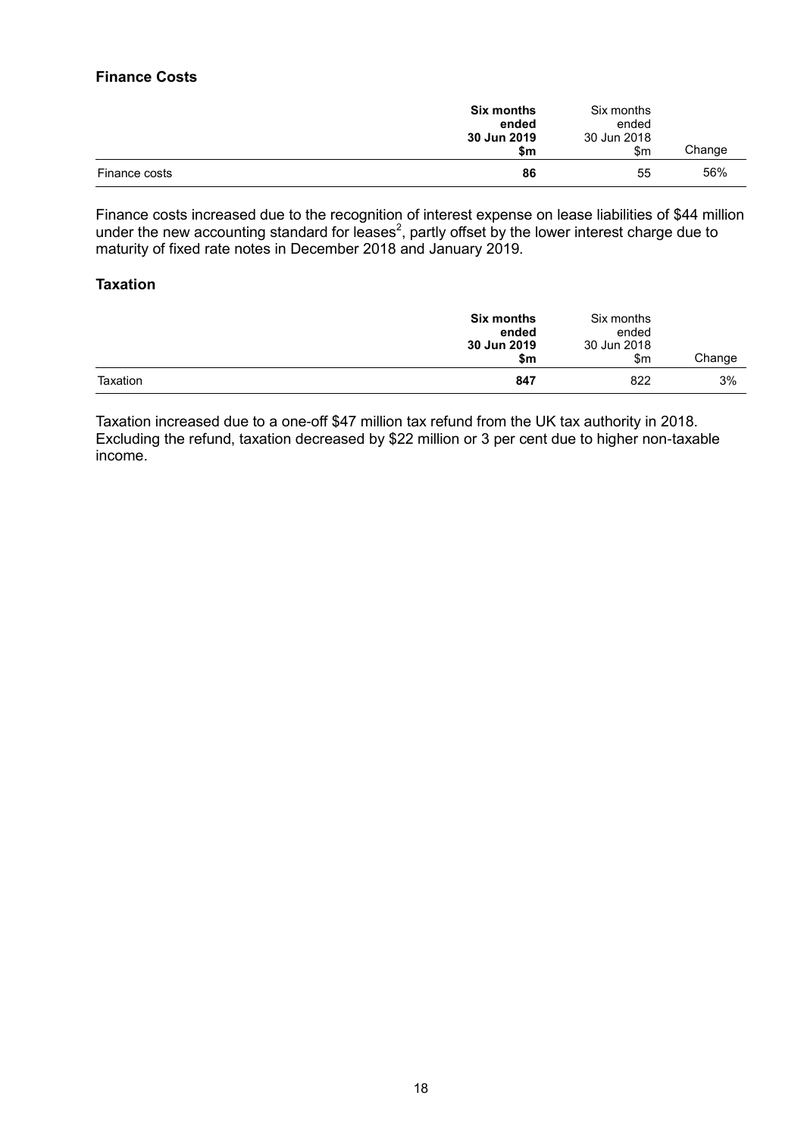## **Finance Costs**

|               | <b>Six months</b><br>ended<br>30 Jun 2019<br>\$m | Six months<br>ended<br>30 Jun 2018<br>$\mathsf{S}$ m | Change |
|---------------|--------------------------------------------------|------------------------------------------------------|--------|
| Finance costs | 86                                               | 55                                                   | 56%    |

Finance costs increased due to the recognition of interest expense on lease liabilities of \$44 million under the new accounting standard for leases<sup>2</sup>, partly offset by the lower interest charge due to maturity of fixed rate notes in December 2018 and January 2019.

### **Taxation**

|          | Six months<br>ended<br>30 Jun 2019<br>\$m | Six months<br>ended<br>30 Jun 2018<br>\$m | Change |
|----------|-------------------------------------------|-------------------------------------------|--------|
| Taxation | 847                                       | 822                                       | 3%     |

Taxation increased due to a one-off \$47 million tax refund from the UK tax authority in 2018. Excluding the refund, taxation decreased by \$22 million or 3 per cent due to higher non-taxable income.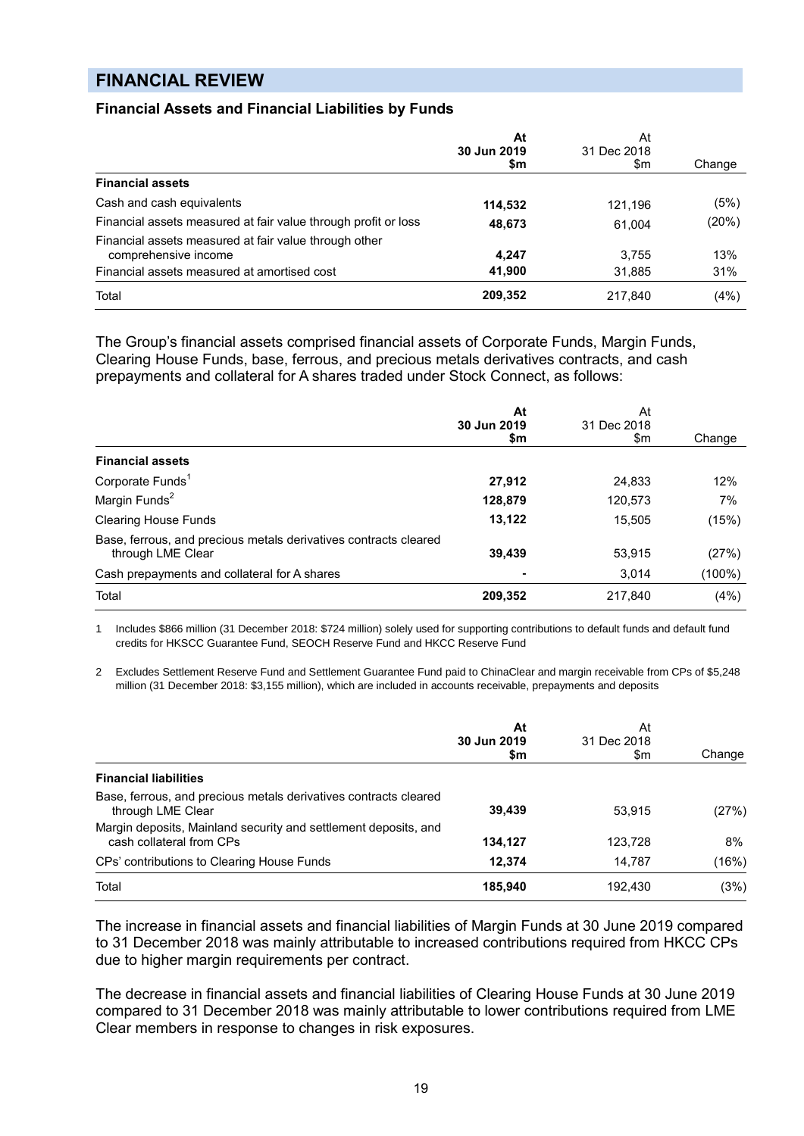## **FINANCIAL REVIEW**

### **Financial Assets and Financial Liabilities by Funds**

|                                                                               | At<br>30 Jun 2019<br>\$m | At<br>31 Dec 2018<br>\$m | Change |
|-------------------------------------------------------------------------------|--------------------------|--------------------------|--------|
| <b>Financial assets</b>                                                       |                          |                          |        |
| Cash and cash equivalents                                                     | 114,532                  | 121.196                  | (5%)   |
| Financial assets measured at fair value through profit or loss                | 48,673                   | 61,004                   | (20%)  |
| Financial assets measured at fair value through other<br>comprehensive income | 4,247                    | 3.755                    | 13%    |
| Financial assets measured at amortised cost                                   | 41,900                   | 31,885                   | 31%    |
| Total                                                                         | 209,352                  | 217.840                  | (4%)   |

The Group's financial assets comprised financial assets of Corporate Funds, Margin Funds, Clearing House Funds, base, ferrous, and precious metals derivatives contracts, and cash prepayments and collateral for A shares traded under Stock Connect, as follows:

|                                                                                       | At                 | At                 |        |
|---------------------------------------------------------------------------------------|--------------------|--------------------|--------|
|                                                                                       | 30 Jun 2019<br>\$m | 31 Dec 2018<br>\$m | Change |
| <b>Financial assets</b>                                                               |                    |                    |        |
| Corporate Funds <sup>1</sup>                                                          | 27,912             | 24.833             | 12%    |
| Margin Funds <sup>2</sup>                                                             | 128,879            | 120,573            | 7%     |
| <b>Clearing House Funds</b>                                                           | 13,122             | 15,505             | (15%)  |
| Base, ferrous, and precious metals derivatives contracts cleared<br>through LME Clear | 39,439             | 53,915             | (27%)  |
| Cash prepayments and collateral for A shares                                          |                    | 3,014              | (100%) |
| Total                                                                                 | 209,352            | 217,840            | (4%)   |

1 Includes \$866 million (31 December 2018: \$724 million) solely used for supporting contributions to default funds and default fund credits for HKSCC Guarantee Fund, SEOCH Reserve Fund and HKCC Reserve Fund

2 Excludes Settlement Reserve Fund and Settlement Guarantee Fund paid to ChinaClear and margin receivable from CPs of \$5,248 million (31 December 2018: \$3,155 million), which are included in accounts receivable, prepayments and deposits

|                                                                                             | At<br>30 Jun 2019<br>\$m | At<br>31 Dec 2018<br>\$m | Change |
|---------------------------------------------------------------------------------------------|--------------------------|--------------------------|--------|
| <b>Financial liabilities</b>                                                                |                          |                          |        |
| Base, ferrous, and precious metals derivatives contracts cleared<br>through LME Clear       | 39.439                   | 53.915                   | (27%)  |
| Margin deposits, Mainland security and settlement deposits, and<br>cash collateral from CPs | 134,127                  | 123,728                  | 8%     |
| CPs' contributions to Clearing House Funds                                                  | 12,374                   | 14.787                   | (16%)  |
| Total                                                                                       | 185,940                  | 192,430                  | (3%)   |

The increase in financial assets and financial liabilities of Margin Funds at 30 June 2019 compared to 31 December 2018 was mainly attributable to increased contributions required from HKCC CPs due to higher margin requirements per contract.

The decrease in financial assets and financial liabilities of Clearing House Funds at 30 June 2019 compared to 31 December 2018 was mainly attributable to lower contributions required from LME Clear members in response to changes in risk exposures.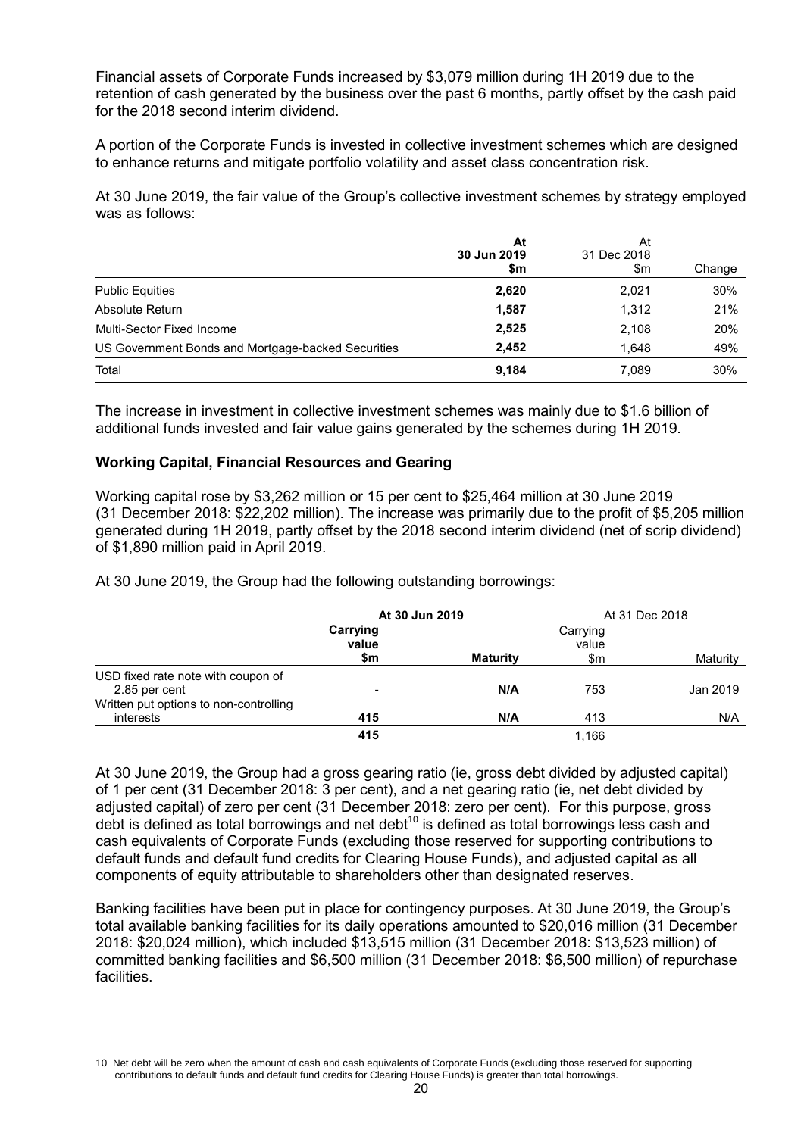Financial assets of Corporate Funds increased by \$3,079 million during 1H 2019 due to the retention of cash generated by the business over the past 6 months, partly offset by the cash paid for the 2018 second interim dividend.

A portion of the Corporate Funds is invested in collective investment schemes which are designed to enhance returns and mitigate portfolio volatility and asset class concentration risk.

At 30 June 2019, the fair value of the Group's collective investment schemes by strategy employed was as follows:

|                                                    | At<br>30 Jun 2019<br>\$m | At<br>31 Dec 2018<br>\$m | Change |
|----------------------------------------------------|--------------------------|--------------------------|--------|
| <b>Public Equities</b>                             | 2,620                    | 2,021                    | 30%    |
| Absolute Return                                    | 1,587                    | 1,312                    | 21%    |
| Multi-Sector Fixed Income                          | 2,525                    | 2,108                    | 20%    |
| US Government Bonds and Mortgage-backed Securities | 2.452                    | 1.648                    | 49%    |
| Total                                              | 9,184                    | 7,089                    | 30%    |

The increase in investment in collective investment schemes was mainly due to \$1.6 billion of additional funds invested and fair value gains generated by the schemes during 1H 2019.

## **Working Capital, Financial Resources and Gearing**

 $\overline{a}$ 

Working capital rose by \$3,262 million or 15 per cent to \$25,464 million at 30 June 2019 (31 December 2018: \$22,202 million). The increase was primarily due to the profit of \$5,205 million generated during 1H 2019, partly offset by the 2018 second interim dividend (net of scrip dividend) of \$1,890 million paid in April 2019.

At 30 June 2019, the Group had the following outstanding borrowings:

|                                                     | At 30 Jun 2019           |                 |                          | At 31 Dec 2018 |
|-----------------------------------------------------|--------------------------|-----------------|--------------------------|----------------|
|                                                     | Carrying<br>value<br>\$m | <b>Maturity</b> | Carrying<br>value<br>\$m | Maturity       |
| USD fixed rate note with coupon of<br>2.85 per cent | $\blacksquare$           | N/A             | 753                      | Jan 2019       |
| Written put options to non-controlling<br>interests | 415                      | N/A             | 413                      | N/A            |
|                                                     | 415                      |                 | 1,166                    |                |

At 30 June 2019, the Group had a gross gearing ratio (ie, gross debt divided by adjusted capital) of 1 per cent (31 December 2018: 3 per cent), and a net gearing ratio (ie, net debt divided by adjusted capital) of zero per cent (31 December 2018: zero per cent). For this purpose, gross debt is defined as total borrowings and net debt<sup>10</sup> is defined as total borrowings less cash and cash equivalents of Corporate Funds (excluding those reserved for supporting contributions to default funds and default fund credits for Clearing House Funds), and adjusted capital as all components of equity attributable to shareholders other than designated reserves.

Banking facilities have been put in place for contingency purposes. At 30 June 2019, the Group's total available banking facilities for its daily operations amounted to \$20,016 million (31 December 2018: \$20,024 million), which included \$13,515 million (31 December 2018: \$13,523 million) of committed banking facilities and \$6,500 million (31 December 2018: \$6,500 million) of repurchase facilities.

<sup>10</sup> Net debt will be zero when the amount of cash and cash equivalents of Corporate Funds (excluding those reserved for supporting contributions to default funds and default fund credits for Clearing House Funds) is greater than total borrowings.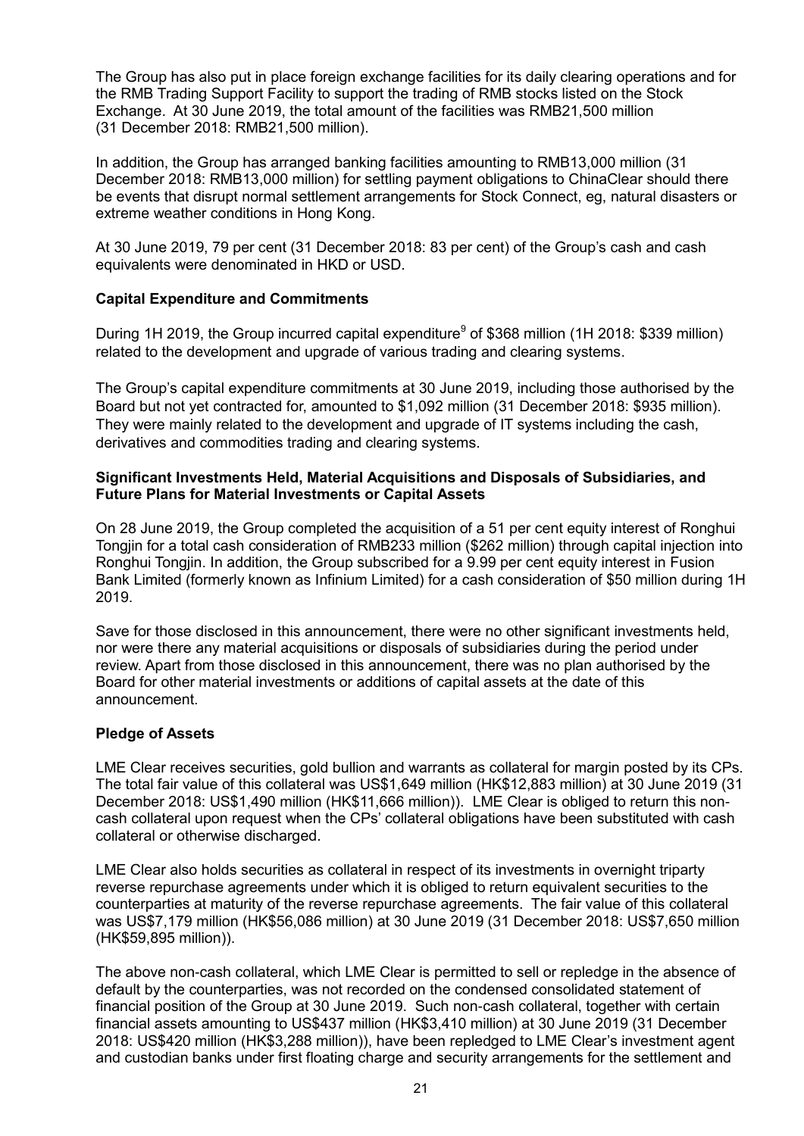The Group has also put in place foreign exchange facilities for its daily clearing operations and for the RMB Trading Support Facility to support the trading of RMB stocks listed on the Stock Exchange. At 30 June 2019, the total amount of the facilities was RMB21,500 million (31 December 2018: RMB21,500 million).

In addition, the Group has arranged banking facilities amounting to RMB13,000 million (31 December 2018: RMB13,000 million) for settling payment obligations to ChinaClear should there be events that disrupt normal settlement arrangements for Stock Connect, eg, natural disasters or extreme weather conditions in Hong Kong.

At 30 June 2019, 79 per cent (31 December 2018: 83 per cent) of the Group's cash and cash equivalents were denominated in HKD or USD.

## **Capital Expenditure and Commitments**

During 1H 2019, the Group incurred capital expenditure<sup>9</sup> of \$368 million (1H 2018: \$339 million) related to the development and upgrade of various trading and clearing systems.

The Group's capital expenditure commitments at 30 June 2019, including those authorised by the Board but not yet contracted for, amounted to \$1,092 million (31 December 2018: \$935 million). They were mainly related to the development and upgrade of IT systems including the cash, derivatives and commodities trading and clearing systems.

## **Significant Investments Held, Material Acquisitions and Disposals of Subsidiaries, and Future Plans for Material Investments or Capital Assets**

On 28 June 2019, the Group completed the acquisition of a 51 per cent equity interest of Ronghui Tongjin for a total cash consideration of RMB233 million (\$262 million) through capital injection into Ronghui Tongjin. In addition, the Group subscribed for a 9.99 per cent equity interest in Fusion Bank Limited (formerly known as Infinium Limited) for a cash consideration of \$50 million during 1H 2019.

Save for those disclosed in this announcement, there were no other significant investments held, nor were there any material acquisitions or disposals of subsidiaries during the period under review. Apart from those disclosed in this announcement, there was no plan authorised by the Board for other material investments or additions of capital assets at the date of this announcement.

## **Pledge of Assets**

LME Clear receives securities, gold bullion and warrants as collateral for margin posted by its CPs. The total fair value of this collateral was US\$1,649 million (HK\$12,883 million) at 30 June 2019 (31 December 2018: US\$1,490 million (HK\$11,666 million)). LME Clear is obliged to return this noncash collateral upon request when the CPs' collateral obligations have been substituted with cash collateral or otherwise discharged.

LME Clear also holds securities as collateral in respect of its investments in overnight triparty reverse repurchase agreements under which it is obliged to return equivalent securities to the counterparties at maturity of the reverse repurchase agreements. The fair value of this collateral was US\$7,179 million (HK\$56,086 million) at 30 June 2019 (31 December 2018: US\$7,650 million (HK\$59,895 million)).

The above non-cash collateral, which LME Clear is permitted to sell or repledge in the absence of default by the counterparties, was not recorded on the condensed consolidated statement of financial position of the Group at 30 June 2019. Such non-cash collateral, together with certain financial assets amounting to US\$437 million (HK\$3,410 million) at 30 June 2019 (31 December 2018: US\$420 million (HK\$3,288 million)), have been repledged to LME Clear's investment agent and custodian banks under first floating charge and security arrangements for the settlement and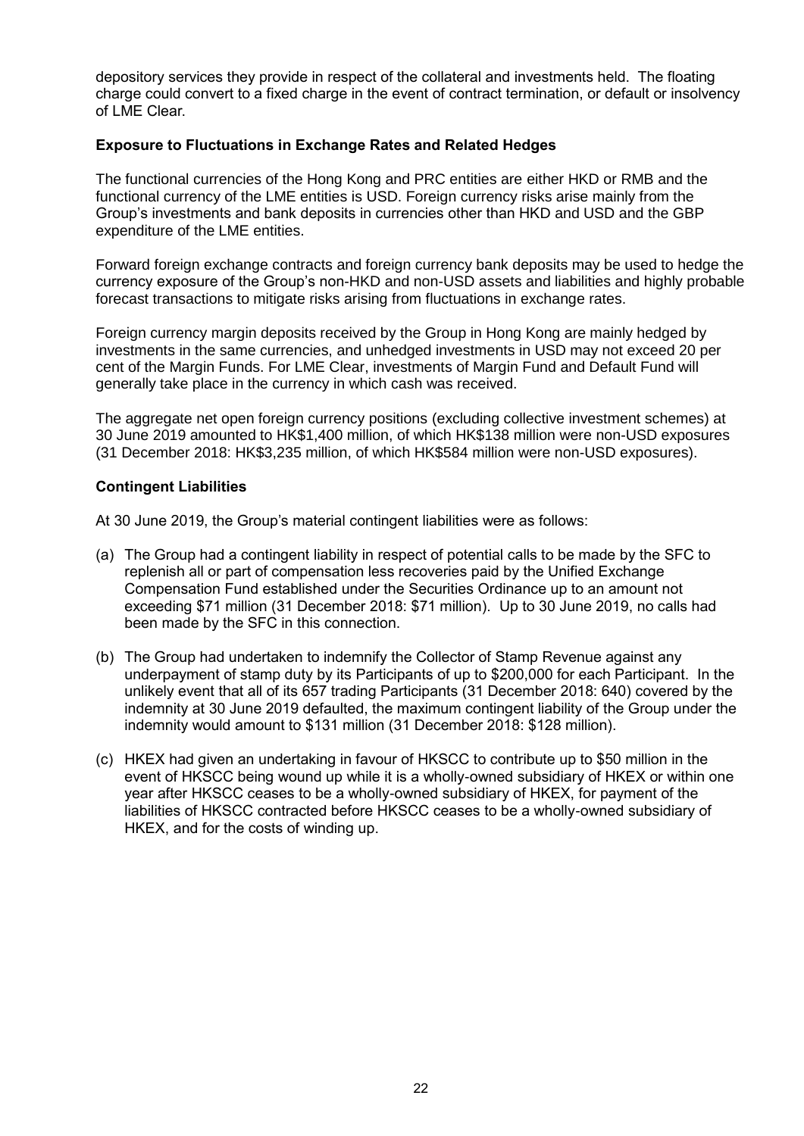depository services they provide in respect of the collateral and investments held. The floating charge could convert to a fixed charge in the event of contract termination, or default or insolvency of LME Clear.

## **Exposure to Fluctuations in Exchange Rates and Related Hedges**

The functional currencies of the Hong Kong and PRC entities are either HKD or RMB and the functional currency of the LME entities is USD. Foreign currency risks arise mainly from the Group's investments and bank deposits in currencies other than HKD and USD and the GBP expenditure of the LME entities.

Forward foreign exchange contracts and foreign currency bank deposits may be used to hedge the currency exposure of the Group's non-HKD and non-USD assets and liabilities and highly probable forecast transactions to mitigate risks arising from fluctuations in exchange rates.

Foreign currency margin deposits received by the Group in Hong Kong are mainly hedged by investments in the same currencies, and unhedged investments in USD may not exceed 20 per cent of the Margin Funds. For LME Clear, investments of Margin Fund and Default Fund will generally take place in the currency in which cash was received.

The aggregate net open foreign currency positions (excluding collective investment schemes) at 30 June 2019 amounted to HK\$1,400 million, of which HK\$138 million were non-USD exposures (31 December 2018: HK\$3,235 million, of which HK\$584 million were non-USD exposures).

#### **Contingent Liabilities**

At 30 June 2019, the Group's material contingent liabilities were as follows:

- (a) The Group had a contingent liability in respect of potential calls to be made by the SFC to replenish all or part of compensation less recoveries paid by the Unified Exchange Compensation Fund established under the Securities Ordinance up to an amount not exceeding \$71 million (31 December 2018: \$71 million). Up to 30 June 2019, no calls had been made by the SFC in this connection.
- (b) The Group had undertaken to indemnify the Collector of Stamp Revenue against any underpayment of stamp duty by its Participants of up to \$200,000 for each Participant. In the unlikely event that all of its 657 trading Participants (31 December 2018: 640) covered by the indemnity at 30 June 2019 defaulted, the maximum contingent liability of the Group under the indemnity would amount to \$131 million (31 December 2018: \$128 million).
- (c) HKEX had given an undertaking in favour of HKSCC to contribute up to \$50 million in the event of HKSCC being wound up while it is a wholly-owned subsidiary of HKEX or within one year after HKSCC ceases to be a wholly-owned subsidiary of HKEX, for payment of the liabilities of HKSCC contracted before HKSCC ceases to be a wholly-owned subsidiary of HKEX, and for the costs of winding up.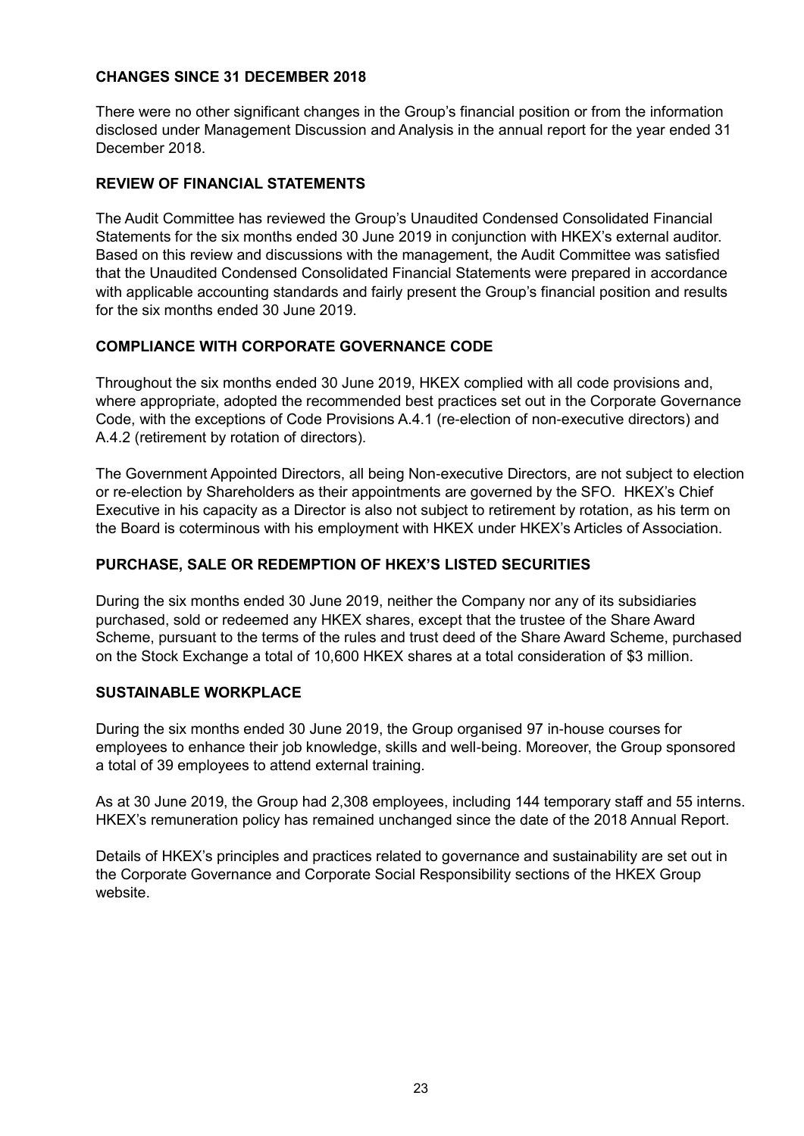## **CHANGES SINCE 31 DECEMBER 2018**

There were no other significant changes in the Group's financial position or from the information disclosed under Management Discussion and Analysis in the annual report for the year ended 31 December 2018.

## **REVIEW OF FINANCIAL STATEMENTS**

The Audit Committee has reviewed the Group's Unaudited Condensed Consolidated Financial Statements for the six months ended 30 June 2019 in conjunction with HKEX's external auditor. Based on this review and discussions with the management, the Audit Committee was satisfied that the Unaudited Condensed Consolidated Financial Statements were prepared in accordance with applicable accounting standards and fairly present the Group's financial position and results for the six months ended 30 June 2019.

## **COMPLIANCE WITH CORPORATE GOVERNANCE CODE**

Throughout the six months ended 30 June 2019, HKEX complied with all code provisions and, where appropriate, adopted the recommended best practices set out in the Corporate Governance Code, with the exceptions of Code Provisions A.4.1 (re-election of non-executive directors) and A.4.2 (retirement by rotation of directors).

The Government Appointed Directors, all being Non-executive Directors, are not subject to election or re-election by Shareholders as their appointments are governed by the SFO. HKEX's Chief Executive in his capacity as a Director is also not subject to retirement by rotation, as his term on the Board is coterminous with his employment with HKEX under HKEX's Articles of Association.

## **PURCHASE, SALE OR REDEMPTION OF HKEX'S LISTED SECURITIES**

During the six months ended 30 June 2019, neither the Company nor any of its subsidiaries purchased, sold or redeemed any HKEX shares, except that the trustee of the Share Award Scheme, pursuant to the terms of the rules and trust deed of the Share Award Scheme, purchased on the Stock Exchange a total of 10,600 HKEX shares at a total consideration of \$3 million.

## **SUSTAINABLE WORKPLACE**

During the six months ended 30 June 2019, the Group organised 97 in-house courses for employees to enhance their job knowledge, skills and well-being. Moreover, the Group sponsored a total of 39 employees to attend external training.

As at 30 June 2019, the Group had 2,308 employees, including 144 temporary staff and 55 interns. HKEX's remuneration policy has remained unchanged since the date of the 2018 Annual Report.

Details of HKEX's principles and practices related to governance and sustainability are set out in the Corporate Governance and Corporate Social Responsibility sections of the HKEX Group website.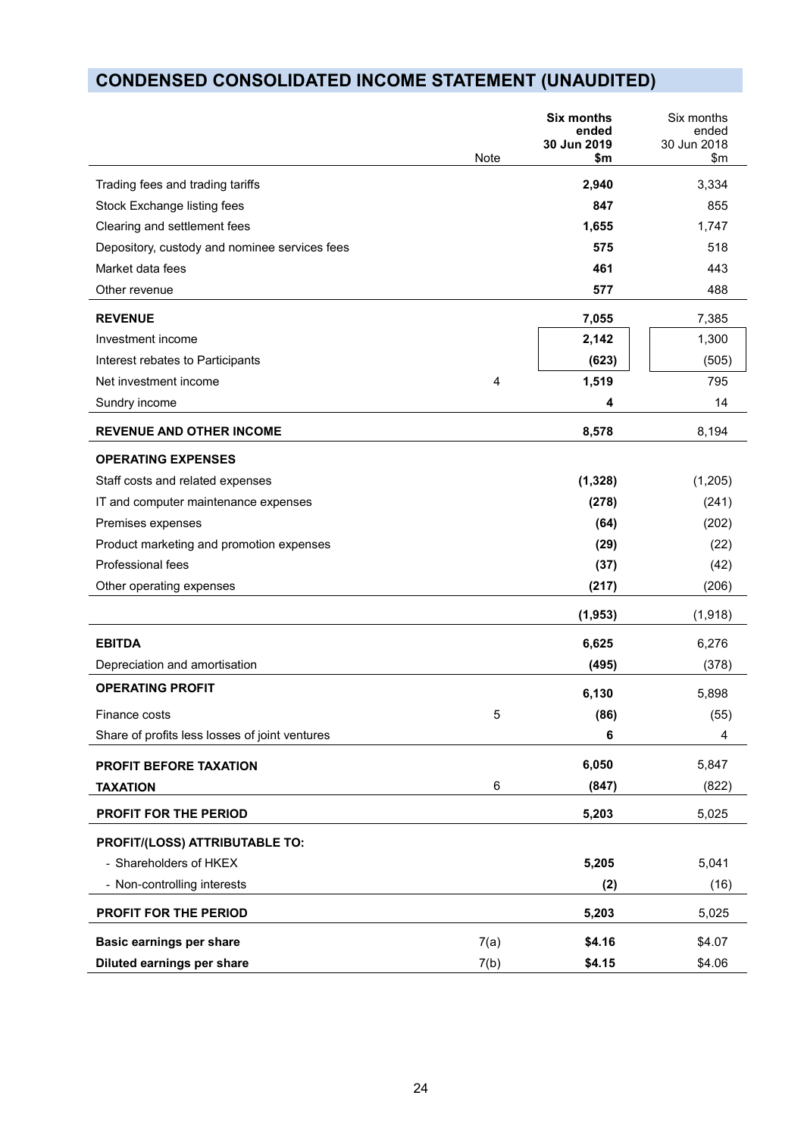# **CONDENSED CONSOLIDATED INCOME STATEMENT (UNAUDITED)**

|                                                | <b>Note</b> | <b>Six months</b><br>ended<br>30 Jun 2019<br>\$m | Six months<br>ended<br>30 Jun 2018<br>$\mathsf{m}$ |
|------------------------------------------------|-------------|--------------------------------------------------|----------------------------------------------------|
| Trading fees and trading tariffs               |             | 2,940                                            | 3,334                                              |
| Stock Exchange listing fees                    |             | 847                                              | 855                                                |
| Clearing and settlement fees                   |             | 1,655                                            | 1,747                                              |
| Depository, custody and nominee services fees  |             | 575                                              | 518                                                |
| Market data fees                               |             | 461                                              | 443                                                |
| Other revenue                                  |             | 577                                              | 488                                                |
| <b>REVENUE</b>                                 |             | 7,055                                            | 7,385                                              |
| Investment income                              |             | 2,142                                            | 1,300                                              |
| Interest rebates to Participants               |             | (623)                                            | (505)                                              |
| Net investment income                          | 4           | 1,519                                            | 795                                                |
| Sundry income                                  |             | 4                                                | 14                                                 |
| <b>REVENUE AND OTHER INCOME</b>                |             | 8,578                                            | 8,194                                              |
| <b>OPERATING EXPENSES</b>                      |             |                                                  |                                                    |
| Staff costs and related expenses               |             | (1, 328)                                         | (1,205)                                            |
| IT and computer maintenance expenses           |             | (278)                                            | (241)                                              |
| Premises expenses                              |             | (64)                                             | (202)                                              |
| Product marketing and promotion expenses       |             | (29)                                             | (22)                                               |
| Professional fees                              |             | (37)                                             | (42)                                               |
| Other operating expenses                       |             | (217)                                            | (206)                                              |
|                                                |             | (1, 953)                                         | (1,918)                                            |
| <b>EBITDA</b>                                  |             | 6,625                                            | 6,276                                              |
| Depreciation and amortisation                  |             | (495)                                            | (378)                                              |
| <b>OPERATING PROFIT</b>                        |             | 6,130                                            | 5,898                                              |
| Finance costs                                  | 5           | (86)                                             | (55)                                               |
| Share of profits less losses of joint ventures |             | 6                                                | 4                                                  |
| PROFIT BEFORE TAXATION                         |             | 6,050                                            | 5,847                                              |
| <b>TAXATION</b>                                | 6           | (847)                                            | (822)                                              |
| PROFIT FOR THE PERIOD                          |             | 5,203                                            | 5,025                                              |
| PROFIT/(LOSS) ATTRIBUTABLE TO:                 |             |                                                  |                                                    |
| - Shareholders of HKEX                         |             | 5,205                                            | 5,041                                              |
| - Non-controlling interests                    |             | (2)                                              | (16)                                               |
| PROFIT FOR THE PERIOD                          |             | 5,203                                            | 5,025                                              |
| <b>Basic earnings per share</b>                | 7(a)        | \$4.16                                           | \$4.07                                             |
| Diluted earnings per share                     | 7(b)        | \$4.15                                           | \$4.06                                             |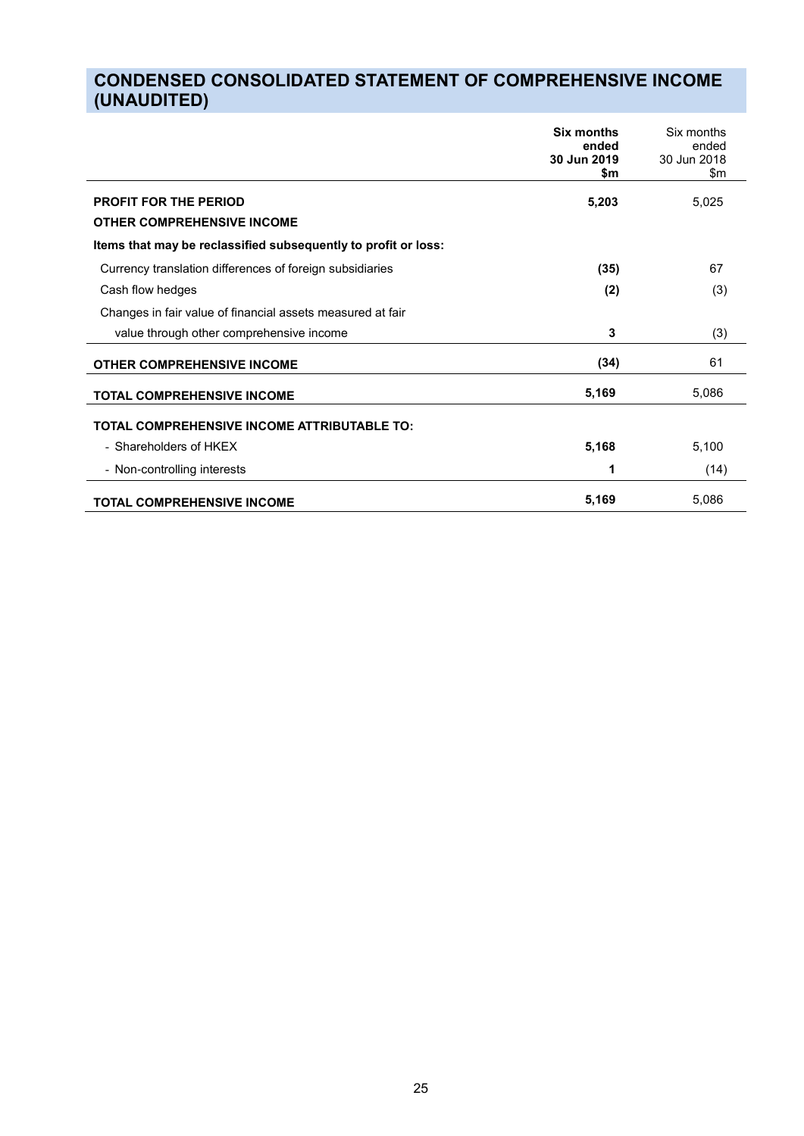# **CONDENSED CONSOLIDATED STATEMENT OF COMPREHENSIVE INCOME (UNAUDITED)**

|                                                                | Six months<br>ended<br>30 Jun 2019<br>\$m | Six months<br>ended<br>30 Jun 2018<br>\$m |
|----------------------------------------------------------------|-------------------------------------------|-------------------------------------------|
| <b>PROFIT FOR THE PERIOD</b>                                   | 5,203                                     | 5,025                                     |
| <b>OTHER COMPREHENSIVE INCOME</b>                              |                                           |                                           |
| Items that may be reclassified subsequently to profit or loss: |                                           |                                           |
| Currency translation differences of foreign subsidiaries       | (35)                                      | 67                                        |
| Cash flow hedges                                               | (2)                                       | (3)                                       |
| Changes in fair value of financial assets measured at fair     |                                           |                                           |
| value through other comprehensive income                       | 3                                         | (3)                                       |
| <b>OTHER COMPREHENSIVE INCOME</b>                              | (34)                                      | 61                                        |
| <b>TOTAL COMPREHENSIVE INCOME</b>                              | 5,169                                     | 5,086                                     |
| TOTAL COMPREHENSIVE INCOME ATTRIBUTABLE TO:                    |                                           |                                           |
| - Shareholders of HKEX                                         | 5,168                                     | 5,100                                     |
| - Non-controlling interests                                    | 1                                         | (14)                                      |
| <b>TOTAL COMPREHENSIVE INCOME</b>                              | 5,169                                     | 5,086                                     |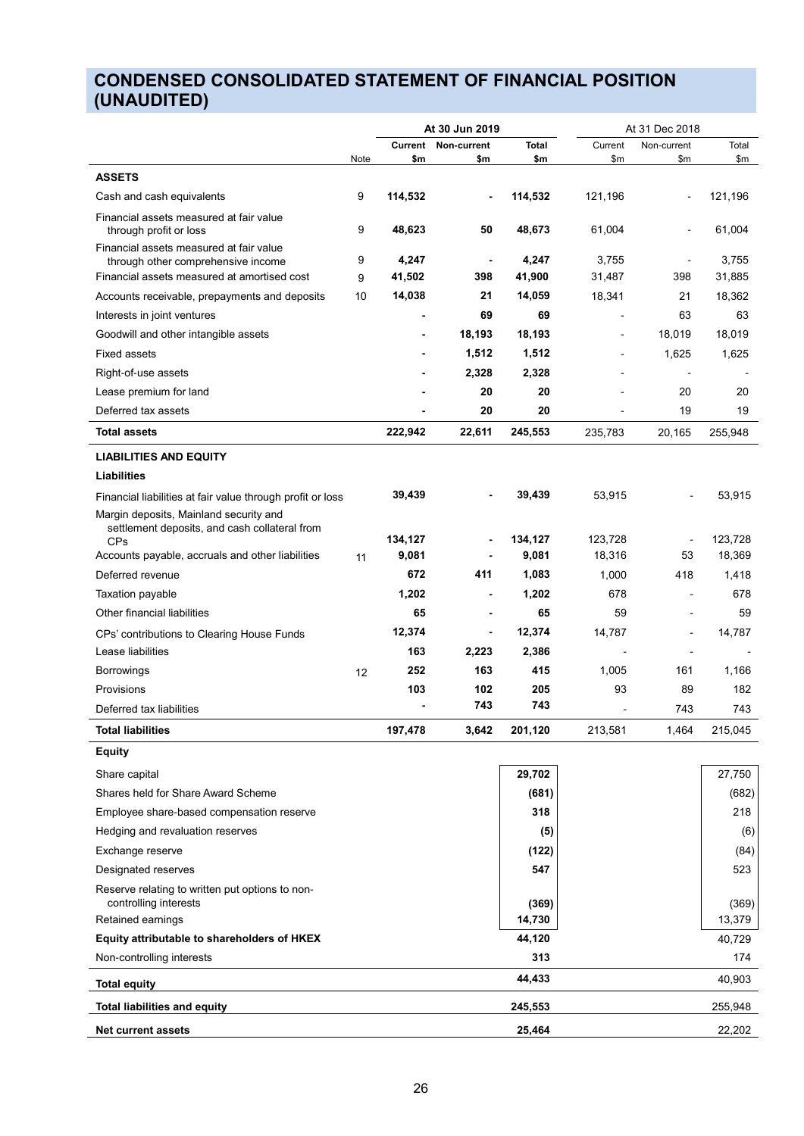# **CONDENSED CONSOLIDATED STATEMENT OF FINANCIAL POSITION (UNAUDITED)**

|                                                                                         | At 30 Jun 2019 |               |                |              | At 31 Dec 2018           |                          |         |  |
|-----------------------------------------------------------------------------------------|----------------|---------------|----------------|--------------|--------------------------|--------------------------|---------|--|
|                                                                                         |                | Current       | Non-current    | <b>Total</b> | Current                  | Non-current              | Total   |  |
| <b>ASSETS</b>                                                                           | Note           | \$m           | \$m            | \$m          | \$m                      | \$m                      | \$m     |  |
|                                                                                         |                |               |                |              |                          |                          |         |  |
| Cash and cash equivalents                                                               | 9              | 114,532       |                | 114,532      | 121,196                  |                          | 121,196 |  |
| Financial assets measured at fair value<br>through profit or loss                       | 9              | 48,623        | 50             | 48,673       | 61,004                   |                          | 61,004  |  |
| Financial assets measured at fair value<br>through other comprehensive income           | 9              | 4,247         |                | 4,247        | 3,755                    |                          | 3,755   |  |
| Financial assets measured at amortised cost                                             | 9              | 41,502        | 398            | 41,900       | 31,487                   | 398                      | 31,885  |  |
| Accounts receivable, prepayments and deposits                                           | 10             | 14,038        | 21             | 14,059       | 18,341                   | 21                       | 18,362  |  |
| Interests in joint ventures                                                             |                |               | 69             | 69           | $\overline{\phantom{a}}$ | 63                       | 63      |  |
| Goodwill and other intangible assets                                                    |                |               | 18,193         | 18,193       | $\blacksquare$           | 18,019                   | 18,019  |  |
| <b>Fixed assets</b>                                                                     |                |               | 1,512          | 1,512        | ä,                       | 1,625                    | 1,625   |  |
| Right-of-use assets                                                                     |                |               | 2,328          | 2,328        |                          | $\overline{\phantom{a}}$ |         |  |
| Lease premium for land                                                                  |                |               | 20             | 20           |                          | 20                       | 20      |  |
| Deferred tax assets                                                                     |                |               | 20             | 20           | ä,                       | 19                       | 19      |  |
| <b>Total assets</b>                                                                     |                | 222,942       | 22,611         | 245,553      | 235,783                  | 20,165                   | 255,948 |  |
| <b>LIABILITIES AND EQUITY</b>                                                           |                |               |                |              |                          |                          |         |  |
| <b>Liabilities</b>                                                                      |                |               |                |              |                          |                          |         |  |
| Financial liabilities at fair value through profit or loss                              |                | 39,439        |                | 39,439       | 53,915                   |                          | 53,915  |  |
| Margin deposits, Mainland security and<br>settlement deposits, and cash collateral from |                |               |                |              |                          |                          |         |  |
| <b>CPs</b>                                                                              |                | 134,127       | $\blacksquare$ | 134,127      | 123,728                  | $\blacksquare$           | 123,728 |  |
| Accounts payable, accruals and other liabilities                                        | 11             | 9,081         |                | 9,081        | 18,316                   | 53                       | 18,369  |  |
| Deferred revenue                                                                        |                | 672           | 411            | 1,083        | 1,000                    | 418                      | 1,418   |  |
| Taxation payable                                                                        |                | 1,202         |                | 1,202        | 678                      | $\blacksquare$           | 678     |  |
| Other financial liabilities                                                             |                | 65            | -              | 65           | 59                       | $\blacksquare$           | 59      |  |
| CPs' contributions to Clearing House Funds                                              |                | 12,374<br>163 | -              | 12,374       | 14,787                   |                          | 14,787  |  |
| Lease liabilities                                                                       |                |               | 2,223          | 2,386        |                          | $\overline{a}$           |         |  |
| <b>Borrowings</b>                                                                       | 12             | 252           | 163            | 415          | 1,005                    | 161                      | 1,166   |  |
| Provisions                                                                              |                | 103           | 102<br>743     | 205<br>743   | 93                       | 89                       | 182     |  |
| Deferred tax liabilities                                                                |                |               |                |              |                          | 743                      | 743     |  |
| <b>Total liabilities</b>                                                                |                | 197,478       | 3,642          | 201,120      | 213,581                  | 1,464                    | 215,045 |  |
| <b>Equity</b>                                                                           |                |               |                |              |                          |                          |         |  |
| Share capital                                                                           |                |               |                | 29,702       |                          |                          | 27,750  |  |
| Shares held for Share Award Scheme                                                      |                |               |                | (681)        |                          |                          | (682)   |  |
| Employee share-based compensation reserve                                               |                |               |                | 318          |                          |                          | 218     |  |
| Hedging and revaluation reserves                                                        |                |               |                | (5)          |                          |                          | (6)     |  |
| Exchange reserve                                                                        |                |               |                | (122)        |                          |                          | (84)    |  |
| Designated reserves                                                                     |                |               |                | 547          |                          |                          | 523     |  |
| Reserve relating to written put options to non-<br>controlling interests                |                |               |                | (369)        |                          |                          | (369)   |  |
| Retained earnings                                                                       |                |               |                | 14,730       |                          |                          | 13,379  |  |
| Equity attributable to shareholders of HKEX                                             |                |               |                | 44,120       |                          |                          | 40,729  |  |
| Non-controlling interests                                                               |                |               |                | 313          |                          |                          | 174     |  |
| <b>Total equity</b>                                                                     |                |               |                | 44,433       |                          |                          | 40,903  |  |
| <b>Total liabilities and equity</b>                                                     |                |               |                | 245,553      |                          |                          | 255,948 |  |
| <b>Net current assets</b>                                                               |                |               |                | 25,464       |                          |                          | 22,202  |  |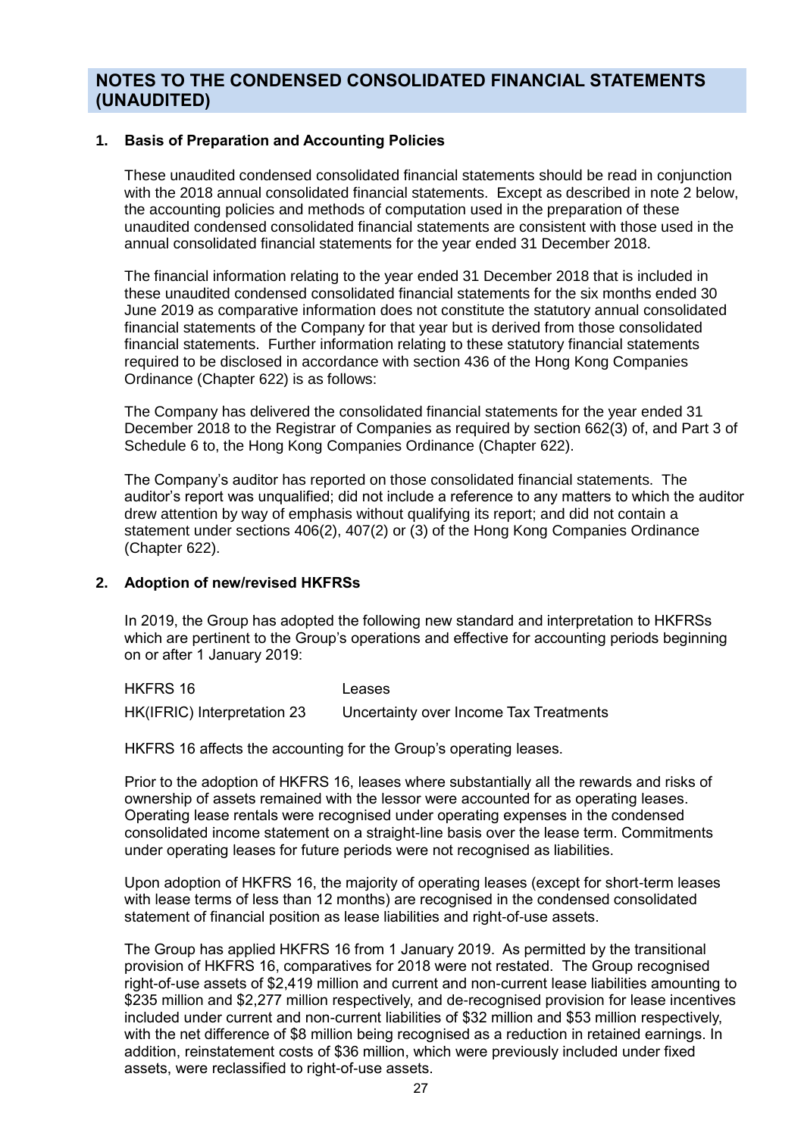## **NOTES TO THE CONDENSED CONSOLIDATED FINANCIAL STATEMENTS (UNAUDITED)**

## **1. Basis of Preparation and Accounting Policies**

These unaudited condensed consolidated financial statements should be read in conjunction with the 2018 annual consolidated financial statements. Except as described in note 2 below, the accounting policies and methods of computation used in the preparation of these unaudited condensed consolidated financial statements are consistent with those used in the annual consolidated financial statements for the year ended 31 December 2018.

The financial information relating to the year ended 31 December 2018 that is included in these unaudited condensed consolidated financial statements for the six months ended 30 June 2019 as comparative information does not constitute the statutory annual consolidated financial statements of the Company for that year but is derived from those consolidated financial statements. Further information relating to these statutory financial statements required to be disclosed in accordance with section 436 of the Hong Kong Companies Ordinance (Chapter 622) is as follows:

The Company has delivered the consolidated financial statements for the year ended 31 December 2018 to the Registrar of Companies as required by section 662(3) of, and Part 3 of Schedule 6 to, the Hong Kong Companies Ordinance (Chapter 622).

The Company's auditor has reported on those consolidated financial statements. The auditor's report was unqualified; did not include a reference to any matters to which the auditor drew attention by way of emphasis without qualifying its report; and did not contain a statement under sections 406(2), 407(2) or (3) of the Hong Kong Companies Ordinance (Chapter 622).

## **2. Adoption of new/revised HKFRSs**

In 2019, the Group has adopted the following new standard and interpretation to HKFRSs which are pertinent to the Group's operations and effective for accounting periods beginning on or after 1 January 2019:

HKFRS 16 Leases HK(IFRIC) Interpretation 23 Uncertainty over Income Tax Treatments

HKFRS 16 affects the accounting for the Group's operating leases.

Prior to the adoption of HKFRS 16, leases where substantially all the rewards and risks of ownership of assets remained with the lessor were accounted for as operating leases. Operating lease rentals were recognised under operating expenses in the condensed consolidated income statement on a straight-line basis over the lease term. Commitments under operating leases for future periods were not recognised as liabilities.

Upon adoption of HKFRS 16, the majority of operating leases (except for short-term leases with lease terms of less than 12 months) are recognised in the condensed consolidated statement of financial position as lease liabilities and right-of-use assets.

The Group has applied HKFRS 16 from 1 January 2019. As permitted by the transitional provision of HKFRS 16, comparatives for 2018 were not restated. The Group recognised right-of-use assets of \$2,419 million and current and non-current lease liabilities amounting to \$235 million and \$2,277 million respectively, and de-recognised provision for lease incentives included under current and non-current liabilities of \$32 million and \$53 million respectively, with the net difference of \$8 million being recognised as a reduction in retained earnings. In addition, reinstatement costs of \$36 million, which were previously included under fixed assets, were reclassified to right-of-use assets.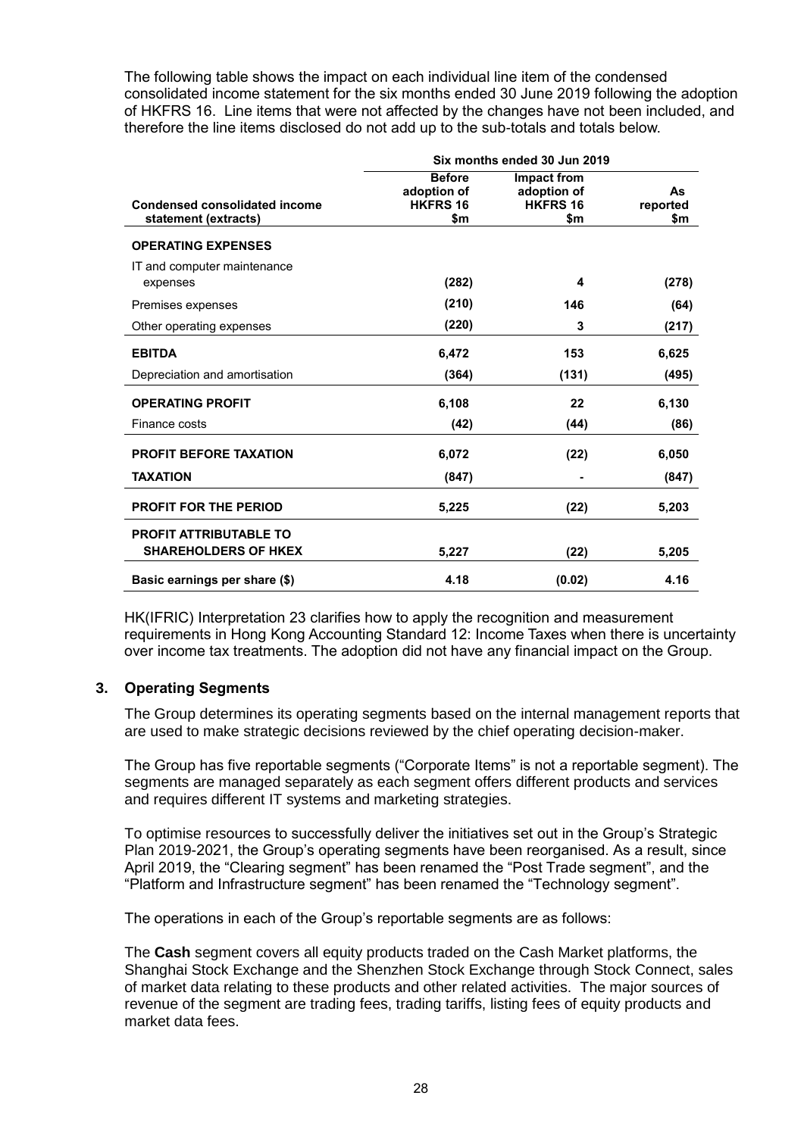The following table shows the impact on each individual line item of the condensed consolidated income statement for the six months ended 30 June 2019 following the adoption of HKFRS 16. Line items that were not affected by the changes have not been included, and therefore the line items disclosed do not add up to the sub-totals and totals below.

|                                                              | Six months ended 30 Jun 2019                           |                                                             |                       |
|--------------------------------------------------------------|--------------------------------------------------------|-------------------------------------------------------------|-----------------------|
| <b>Condensed consolidated income</b><br>statement (extracts) | <b>Before</b><br>adoption of<br><b>HKFRS 16</b><br>\$m | <b>Impact from</b><br>adoption of<br><b>HKFRS 16</b><br>\$m | As<br>reported<br>\$m |
| <b>OPERATING EXPENSES</b>                                    |                                                        |                                                             |                       |
| IT and computer maintenance<br>expenses                      | (282)                                                  | 4                                                           | (278)                 |
| Premises expenses                                            | (210)                                                  | 146                                                         | (64)                  |
| Other operating expenses                                     | (220)                                                  | 3                                                           | (217)                 |
| <b>EBITDA</b>                                                | 6,472                                                  | 153                                                         | 6,625                 |
| Depreciation and amortisation                                | (364)                                                  | (131)                                                       | (495)                 |
| <b>OPERATING PROFIT</b>                                      | 6,108                                                  | 22                                                          | 6,130                 |
| Finance costs                                                | (42)                                                   | (44)                                                        | (86)                  |
| <b>PROFIT BEFORE TAXATION</b>                                | 6,072                                                  | (22)                                                        | 6,050                 |
| <b>TAXATION</b>                                              | (847)                                                  |                                                             | (847)                 |
| PROFIT FOR THE PERIOD                                        | 5,225                                                  | (22)                                                        | 5,203                 |
| <b>PROFIT ATTRIBUTABLE TO</b><br><b>SHAREHOLDERS OF HKEX</b> | 5,227                                                  | (22)                                                        | 5,205                 |
| Basic earnings per share (\$)                                | 4.18                                                   | (0.02)                                                      | 4.16                  |

HK(IFRIC) Interpretation 23 clarifies how to apply the recognition and measurement requirements in Hong Kong Accounting Standard 12: Income Taxes when there is uncertainty over income tax treatments. The adoption did not have any financial impact on the Group.

## **3. Operating Segments**

The Group determines its operating segments based on the internal management reports that are used to make strategic decisions reviewed by the chief operating decision-maker.

The Group has five reportable segments ("Corporate Items" is not a reportable segment). The segments are managed separately as each segment offers different products and services and requires different IT systems and marketing strategies.

To optimise resources to successfully deliver the initiatives set out in the Group's Strategic Plan 2019-2021, the Group's operating segments have been reorganised. As a result, since April 2019, the "Clearing segment" has been renamed the "Post Trade segment", and the "Platform and Infrastructure segment" has been renamed the "Technology segment".

The operations in each of the Group's reportable segments are as follows:

The **Cash** segment covers all equity products traded on the Cash Market platforms, the Shanghai Stock Exchange and the Shenzhen Stock Exchange through Stock Connect, sales of market data relating to these products and other related activities. The major sources of revenue of the segment are trading fees, trading tariffs, listing fees of equity products and market data fees.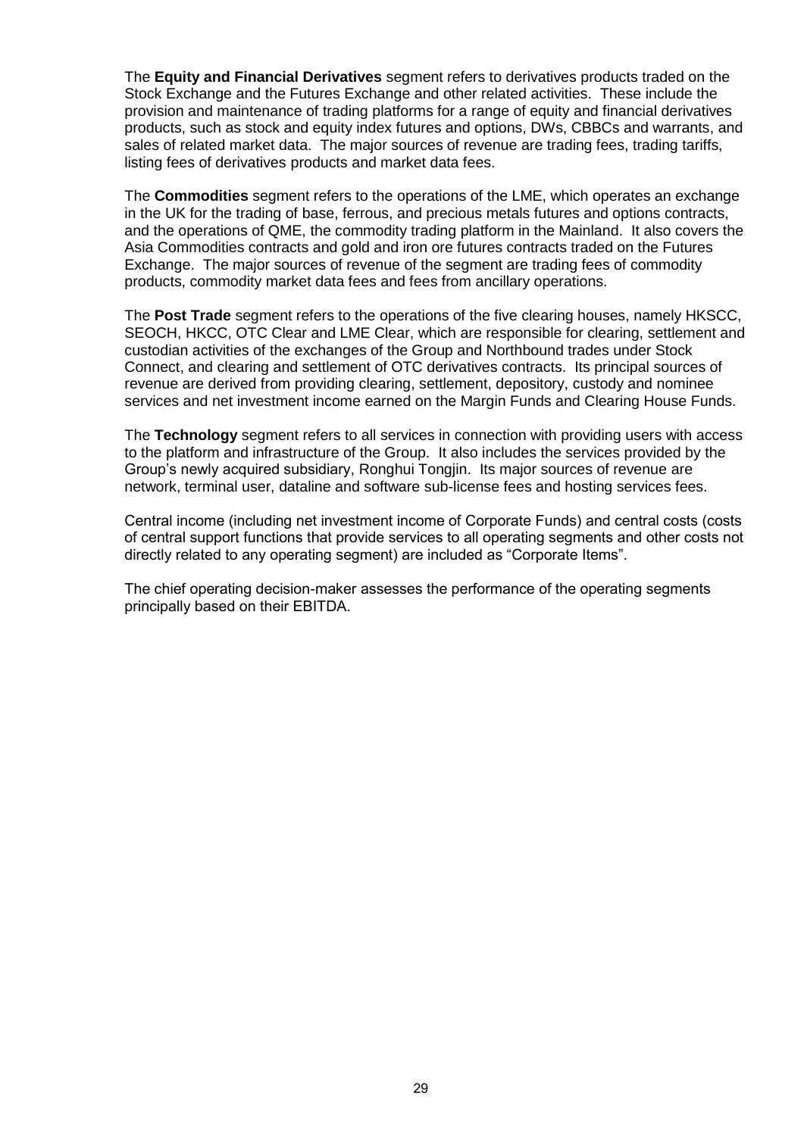The **Equity and Financial Derivatives** segment refers to derivatives products traded on the Stock Exchange and the Futures Exchange and other related activities. These include the provision and maintenance of trading platforms for a range of equity and financial derivatives products, such as stock and equity index futures and options, DWs, CBBCs and warrants, and sales of related market data. The major sources of revenue are trading fees, trading tariffs, listing fees of derivatives products and market data fees.

The **Commodities** segment refers to the operations of the LME, which operates an exchange in the UK for the trading of base, ferrous, and precious metals futures and options contracts, and the operations of QME, the commodity trading platform in the Mainland. It also covers the Asia Commodities contracts and gold and iron ore futures contracts traded on the Futures Exchange. The major sources of revenue of the segment are trading fees of commodity products, commodity market data fees and fees from ancillary operations.

The **Post Trade** segment refers to the operations of the five clearing houses, namely HKSCC, SEOCH, HKCC, OTC Clear and LME Clear, which are responsible for clearing, settlement and custodian activities of the exchanges of the Group and Northbound trades under Stock Connect, and clearing and settlement of OTC derivatives contracts. Its principal sources of revenue are derived from providing clearing, settlement, depository, custody and nominee services and net investment income earned on the Margin Funds and Clearing House Funds.

The **Technology** segment refers to all services in connection with providing users with access to the platform and infrastructure of the Group. It also includes the services provided by the Group's newly acquired subsidiary, Ronghui Tongjin. Its major sources of revenue are network, terminal user, dataline and software sub-license fees and hosting services fees.

Central income (including net investment income of Corporate Funds) and central costs (costs of central support functions that provide services to all operating segments and other costs not directly related to any operating segment) are included as "Corporate Items".

The chief operating decision-maker assesses the performance of the operating segments principally based on their EBITDA.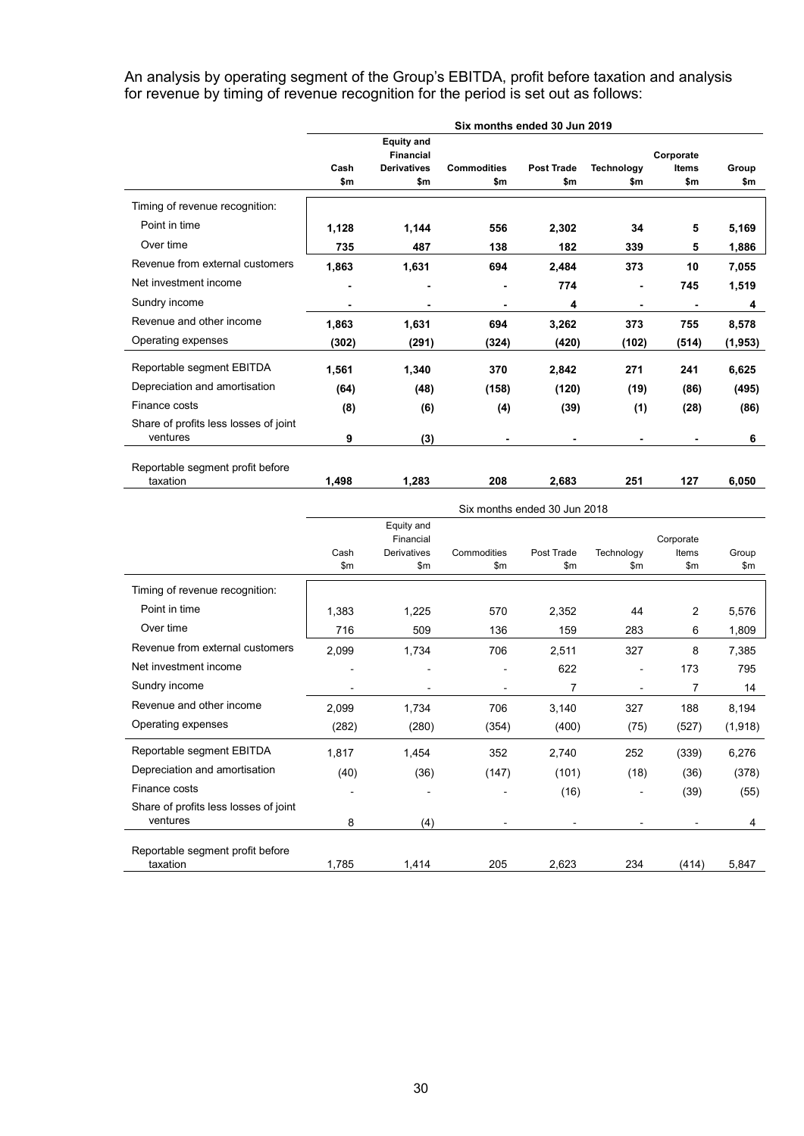An analysis by operating segment of the Group's EBITDA, profit before taxation and analysis for revenue by timing of revenue recognition for the period is set out as follows:

|                                       | Six months ended 30 Jun 2019          |                    |                    |                   |                   |              |         |  |
|---------------------------------------|---------------------------------------|--------------------|--------------------|-------------------|-------------------|--------------|---------|--|
|                                       | <b>Equity and</b><br><b>Financial</b> |                    |                    |                   | Corporate         |              |         |  |
|                                       | Cash                                  | <b>Derivatives</b> | <b>Commodities</b> | <b>Post Trade</b> | <b>Technology</b> | <b>Items</b> | Group   |  |
|                                       | \$m                                   | \$m                | \$m                | \$m               | \$m               | \$m          | \$m     |  |
| Timing of revenue recognition:        |                                       |                    |                    |                   |                   |              |         |  |
| Point in time                         | 1,128                                 | 1,144              | 556                | 2,302             | 34                | 5            | 5,169   |  |
| Over time                             | 735                                   | 487                | 138                | 182               | 339               | 5            | 1,886   |  |
| Revenue from external customers       | 1,863                                 | 1,631              | 694                | 2,484             | 373               | 10           | 7,055   |  |
| Net investment income                 |                                       | ٠                  | -                  | 774               |                   | 745          | 1,519   |  |
| Sundry income                         |                                       | $\blacksquare$     | $\blacksquare$     | 4                 | -                 |              | 4       |  |
| Revenue and other income              | 1,863                                 | 1,631              | 694                | 3,262             | 373               | 755          | 8,578   |  |
| Operating expenses                    | (302)                                 | (291)              | (324)              | (420)             | (102)             | (514)        | (1,953) |  |
| Reportable segment EBITDA             | 1,561                                 | 1,340              | 370                | 2,842             | 271               | 241          | 6,625   |  |
| Depreciation and amortisation         | (64)                                  | (48)               | (158)              | (120)             | (19)              | (86)         | (495)   |  |
| Finance costs                         | (8)                                   | (6)                | (4)                | (39)              | (1)               | (28)         | (86)    |  |
| Share of profits less losses of joint |                                       |                    |                    |                   |                   |              |         |  |
| ventures                              | 9                                     | (3)                |                    |                   | -                 |              | 6       |  |

taxation **1,498 1,283 208 2,683 251 127 6,050**

|                                       |       | Six months ended 30 Jun 2018 |             |            |                |              |         |
|---------------------------------------|-------|------------------------------|-------------|------------|----------------|--------------|---------|
|                                       |       | Equity and<br>Financial      |             |            |                | Corporate    |         |
|                                       | Cash  | <b>Derivatives</b>           | Commodities | Post Trade | Technology     | <b>Items</b> | Group   |
|                                       | \$m   | \$m                          | \$m\$       | \$m        | \$m\$          | \$m          | \$m\$   |
| Timing of revenue recognition:        |       |                              |             |            |                |              |         |
| Point in time                         | 1,383 | 1,225                        | 570         | 2,352      | 44             | 2            | 5,576   |
| Over time                             | 716   | 509                          | 136         | 159        | 283            | 6            | 1,809   |
| Revenue from external customers       | 2,099 | 1,734                        | 706         | 2,511      | 327            | 8            | 7,385   |
| Net investment income                 |       |                              |             | 622        | -              | 173          | 795     |
| Sundry income                         |       |                              |             | 7          | $\blacksquare$ | 7            | 14      |
| Revenue and other income              | 2,099 | 1,734                        | 706         | 3,140      | 327            | 188          | 8,194   |
| Operating expenses                    | (282) | (280)                        | (354)       | (400)      | (75)           | (527)        | (1,918) |
| Reportable segment EBITDA             | 1,817 | 1,454                        | 352         | 2,740      | 252            | (339)        | 6,276   |
| Depreciation and amortisation         | (40)  | (36)                         | (147)       | (101)      | (18)           | (36)         | (378)   |
| Finance costs                         |       |                              |             | (16)       | $\blacksquare$ | (39)         | (55)    |
| Share of profits less losses of joint |       |                              |             |            |                |              |         |
| ventures                              | 8     | (4)                          |             |            |                |              | 4       |
| Reportable segment profit before      |       |                              |             |            |                |              |         |
| taxation                              | 1,785 | 1,414                        | 205         | 2,623      | 234            | (414)        | 5,847   |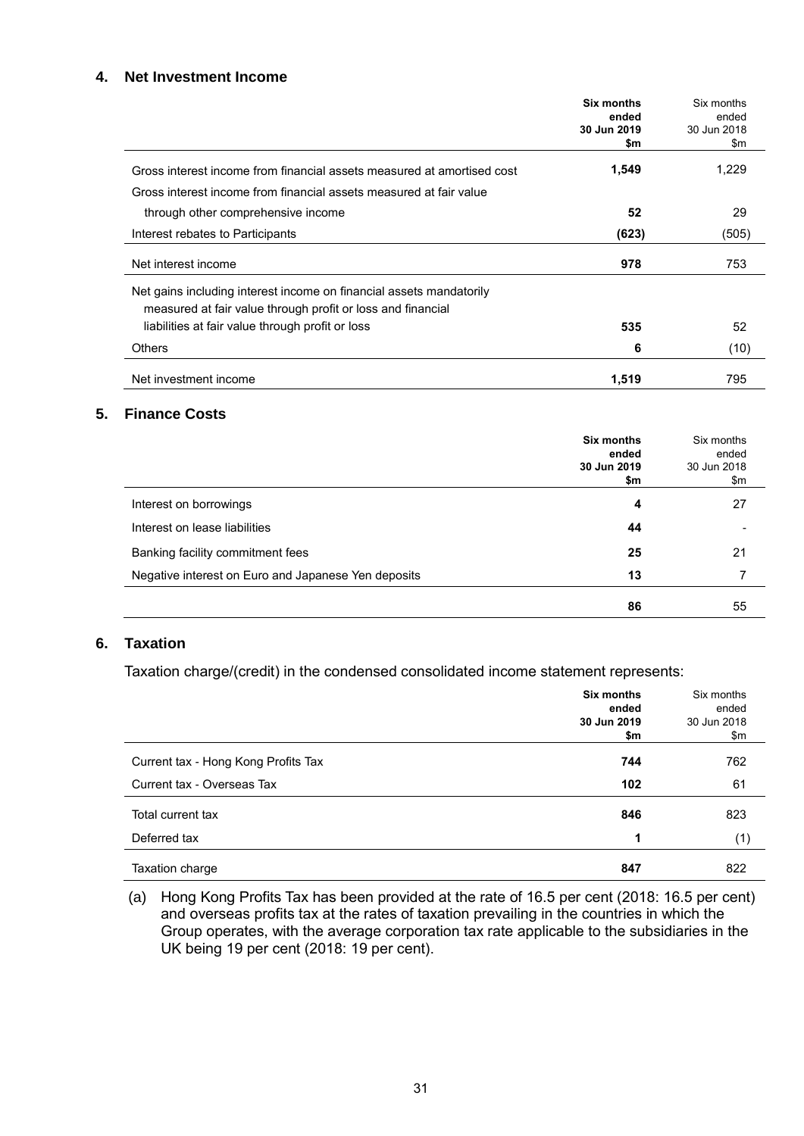### **4. Net Investment Income**

|                                                                                                                                    | Six months<br>ended<br>30 Jun 2019<br>\$m | Six months<br>ended<br>30 Jun 2018<br>\$m |
|------------------------------------------------------------------------------------------------------------------------------------|-------------------------------------------|-------------------------------------------|
| Gross interest income from financial assets measured at amortised cost                                                             | 1,549                                     | 1,229                                     |
| Gross interest income from financial assets measured at fair value                                                                 |                                           |                                           |
| through other comprehensive income                                                                                                 | 52                                        | 29                                        |
| Interest rebates to Participants                                                                                                   | (623)                                     | (505)                                     |
| Net interest income                                                                                                                | 978                                       | 753                                       |
| Net gains including interest income on financial assets mandatorily<br>measured at fair value through profit or loss and financial |                                           |                                           |
| liabilities at fair value through profit or loss                                                                                   | 535                                       | 52                                        |
| <b>Others</b>                                                                                                                      | 6                                         | (10)                                      |
| Net investment income                                                                                                              | 1,519                                     | 795                                       |

#### **5. Finance Costs**

|                                                     | Six months<br>ended<br>30 Jun 2019<br>\$m | Six months<br>ended<br>30 Jun 2018<br>\$m |
|-----------------------------------------------------|-------------------------------------------|-------------------------------------------|
| Interest on borrowings                              | 4                                         | 27                                        |
| Interest on lease liabilities                       | 44                                        |                                           |
| Banking facility commitment fees                    | 25                                        | 21                                        |
| Negative interest on Euro and Japanese Yen deposits | 13                                        |                                           |
|                                                     | 86                                        | 55                                        |

## **6. Taxation**

Taxation charge/(credit) in the condensed consolidated income statement represents:

|                                     | Six months<br>ended<br>30 Jun 2019<br>\$m | Six months<br>ended<br>30 Jun 2018<br>\$m |
|-------------------------------------|-------------------------------------------|-------------------------------------------|
| Current tax - Hong Kong Profits Tax | 744                                       | 762                                       |
| Current tax - Overseas Tax          | 102                                       | 61                                        |
| Total current tax                   | 846                                       | 823                                       |
| Deferred tax                        | 1                                         | (1)                                       |
| Taxation charge                     | 847                                       | 822                                       |

(a) Hong Kong Profits Tax has been provided at the rate of 16.5 per cent (2018: 16.5 per cent) and overseas profits tax at the rates of taxation prevailing in the countries in which the Group operates, with the average corporation tax rate applicable to the subsidiaries in the UK being 19 per cent (2018: 19 per cent).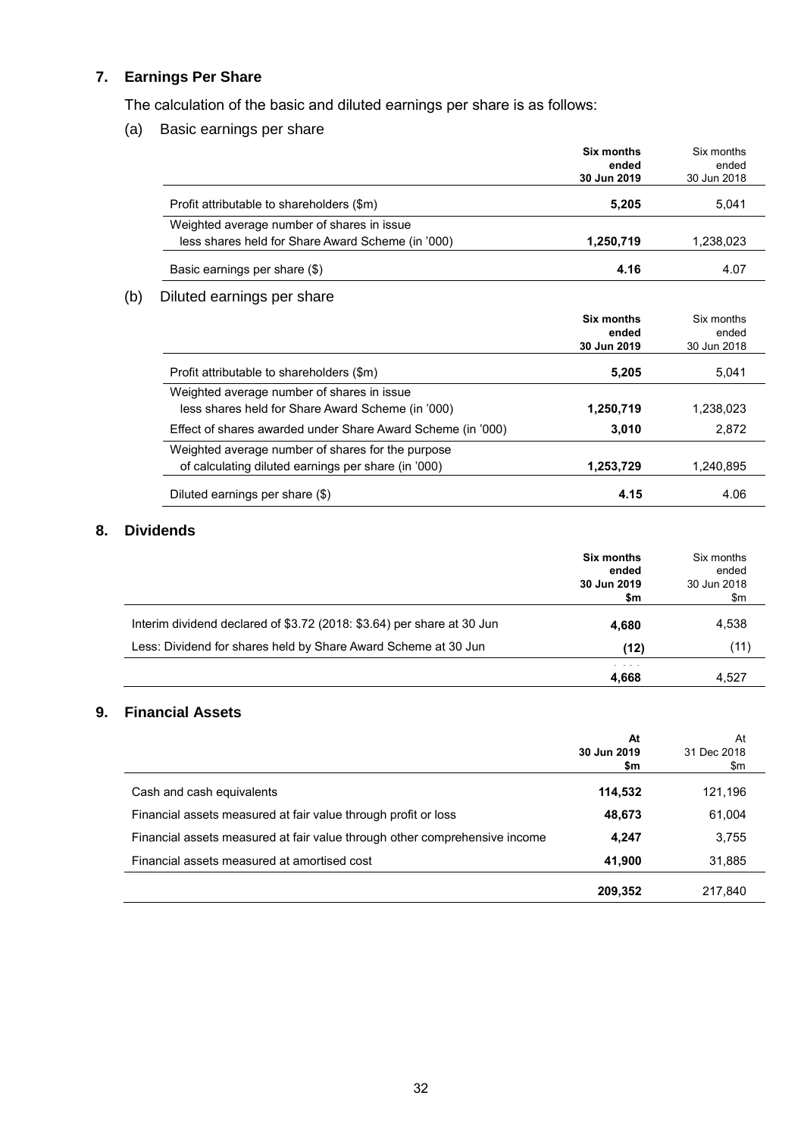## **7. Earnings Per Share**

 $(b)$ 

The calculation of the basic and diluted earnings per share is as follows:

(a) Basic earnings per share

|                                                                                                 | Six months<br>ended<br>30 Jun 2019 | Six months<br>ended<br>30 Jun 2018 |
|-------------------------------------------------------------------------------------------------|------------------------------------|------------------------------------|
| Profit attributable to shareholders (\$m)                                                       | 5,205                              | 5,041                              |
| Weighted average number of shares in issue<br>less shares held for Share Award Scheme (in '000) | 1,250,719                          | 1,238,023                          |
| Basic earnings per share (\$)                                                                   | 4.16                               | 4.07                               |
| Diluted earnings per share                                                                      |                                    |                                    |
|                                                                                                 | Six months<br>ended<br>30 Jun 2019 | Six months<br>ended<br>30 Jun 2018 |
| Profit attributable to shareholders (\$m)                                                       | 5,205                              | 5,041                              |
| Weighted average number of shares in issue<br>less shares held for Share Award Scheme (in '000) | 1,250,719                          | 1,238,023                          |
| Effect of shares awarded under Share Award Scheme (in '000)                                     | 3,010                              | 2,872                              |
| Weighted average number of shares for the purpose                                               |                                    |                                    |

of calculating diluted earnings per share (in '000) **1,253,729** 1,240,895

# Diluted earnings per share (\$) **4.15** 4.06

**8. Dividends**

|                                                                        | Six months<br>ended<br>30 Jun 2019<br>\$m | Six months<br>ended<br>30 Jun 2018<br>\$m |
|------------------------------------------------------------------------|-------------------------------------------|-------------------------------------------|
| Interim dividend declared of \$3.72 (2018: \$3.64) per share at 30 Jun | 4,680                                     | 4,538                                     |
| Less: Dividend for shares held by Share Award Scheme at 30 Jun         | (12)                                      | (11)                                      |
|                                                                        | 4,668                                     | 4,527                                     |

## **9. Financial Assets**

|                                                                            | At<br>30 Jun 2019<br>\$m | At<br>31 Dec 2018<br>\$m |
|----------------------------------------------------------------------------|--------------------------|--------------------------|
| Cash and cash equivalents                                                  | 114,532                  | 121,196                  |
| Financial assets measured at fair value through profit or loss             | 48,673                   | 61,004                   |
| Financial assets measured at fair value through other comprehensive income | 4,247                    | 3,755                    |
| Financial assets measured at amortised cost                                | 41,900                   | 31,885                   |
|                                                                            | 209,352                  | 217,840                  |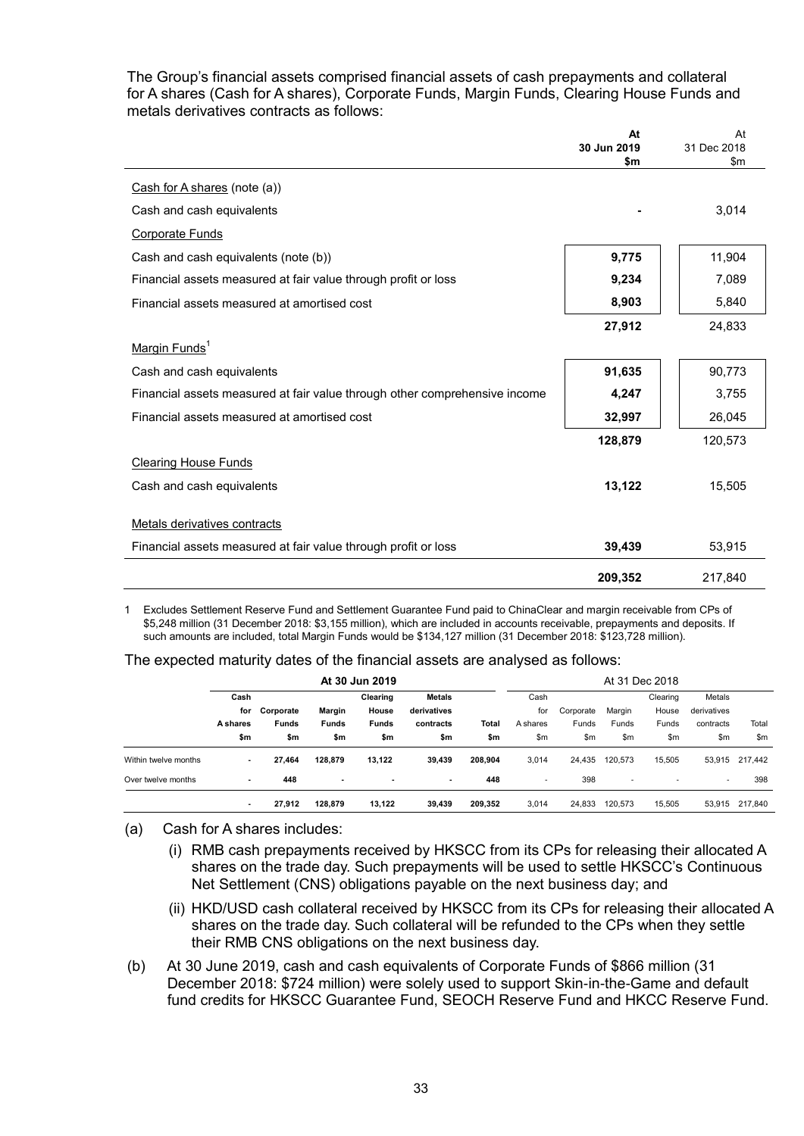The Group's financial assets comprised financial assets of cash prepayments and collateral for A shares (Cash for A shares), Corporate Funds, Margin Funds, Clearing House Funds and metals derivatives contracts as follows:

|                                                                            | At          | At          |
|----------------------------------------------------------------------------|-------------|-------------|
|                                                                            | 30 Jun 2019 | 31 Dec 2018 |
|                                                                            | \$m         | \$m         |
| Cash for A shares (note $(a)$ )                                            |             |             |
| Cash and cash equivalents                                                  |             | 3,014       |
| <b>Corporate Funds</b>                                                     |             |             |
| Cash and cash equivalents (note (b))                                       | 9,775       | 11,904      |
| Financial assets measured at fair value through profit or loss             | 9,234       | 7,089       |
| Financial assets measured at amortised cost                                | 8,903       | 5,840       |
|                                                                            | 27,912      | 24,833      |
| Margin Funds <sup>1</sup>                                                  |             |             |
| Cash and cash equivalents                                                  | 91,635      | 90,773      |
| Financial assets measured at fair value through other comprehensive income | 4,247       | 3,755       |
| Financial assets measured at amortised cost                                | 32,997      | 26,045      |
|                                                                            | 128,879     | 120,573     |
| <b>Clearing House Funds</b>                                                |             |             |
| Cash and cash equivalents                                                  | 13,122      | 15,505      |
|                                                                            |             |             |
| Metals derivatives contracts                                               |             |             |
| Financial assets measured at fair value through profit or loss             | 39,439      | 53,915      |
|                                                                            | 209,352     | 217,840     |

1 Excludes Settlement Reserve Fund and Settlement Guarantee Fund paid to ChinaClear and margin receivable from CPs of \$5,248 million (31 December 2018: \$3,155 million), which are included in accounts receivable, prepayments and deposits. If such amounts are included, total Margin Funds would be \$134,127 million (31 December 2018: \$123,728 million).

#### The expected maturity dates of the financial assets are analysed as follows:

|                      | At 30 Jun 2019  |              |                          |              |               |         |                          |           |                          | At 31 Dec 2018 |             |                |
|----------------------|-----------------|--------------|--------------------------|--------------|---------------|---------|--------------------------|-----------|--------------------------|----------------|-------------|----------------|
|                      | Cash            |              |                          | Clearing     | <b>Metals</b> |         | Cash                     |           |                          | Clearing       | Metals      |                |
|                      | for             | Corporate    | Margin                   | House        | derivatives   |         | for                      | Corporate | Margin                   | House          | derivatives |                |
|                      | <b>A</b> shares | <b>Funds</b> | <b>Funds</b>             | <b>Funds</b> | contracts     | Total   | A shares                 | Funds     | Funds                    | Funds          | contracts   | Total          |
|                      | \$m             | \$m          | \$m                      | \$m          | \$m           | \$m     | \$m                      | \$m       | \$m                      | \$m            | \$m         | \$m            |
| Within twelve months | ٠               | 27,464       | 128,879                  | 13.122       | 39,439        | 208,904 | 3,014                    | 24,435    | 120,573                  | 15.505         |             | 53,915 217,442 |
| Over twelve months   | ٠               | 448          | $\overline{\phantom{a}}$ |              | ٠             | 448     | $\overline{\phantom{a}}$ | 398       | $\overline{\phantom{a}}$ |                | ٠           | 398            |
|                      | ٠               | 27,912       | 128.879                  | 13,122       | 39.439        | 209,352 | 3,014                    | 24,833    | 120,573                  | 15,505         |             | 53,915 217,840 |

- (a) Cash for A shares includes:
	- (i) RMB cash prepayments received by HKSCC from its CPs for releasing their allocated A shares on the trade day. Such prepayments will be used to settle HKSCC's Continuous Net Settlement (CNS) obligations payable on the next business day; and
	- (ii) HKD/USD cash collateral received by HKSCC from its CPs for releasing their allocated A shares on the trade day. Such collateral will be refunded to the CPs when they settle their RMB CNS obligations on the next business day.
- (b) At 30 June 2019, cash and cash equivalents of Corporate Funds of \$866 million (31 December 2018: \$724 million) were solely used to support Skin-in-the-Game and default fund credits for HKSCC Guarantee Fund, SEOCH Reserve Fund and HKCC Reserve Fund.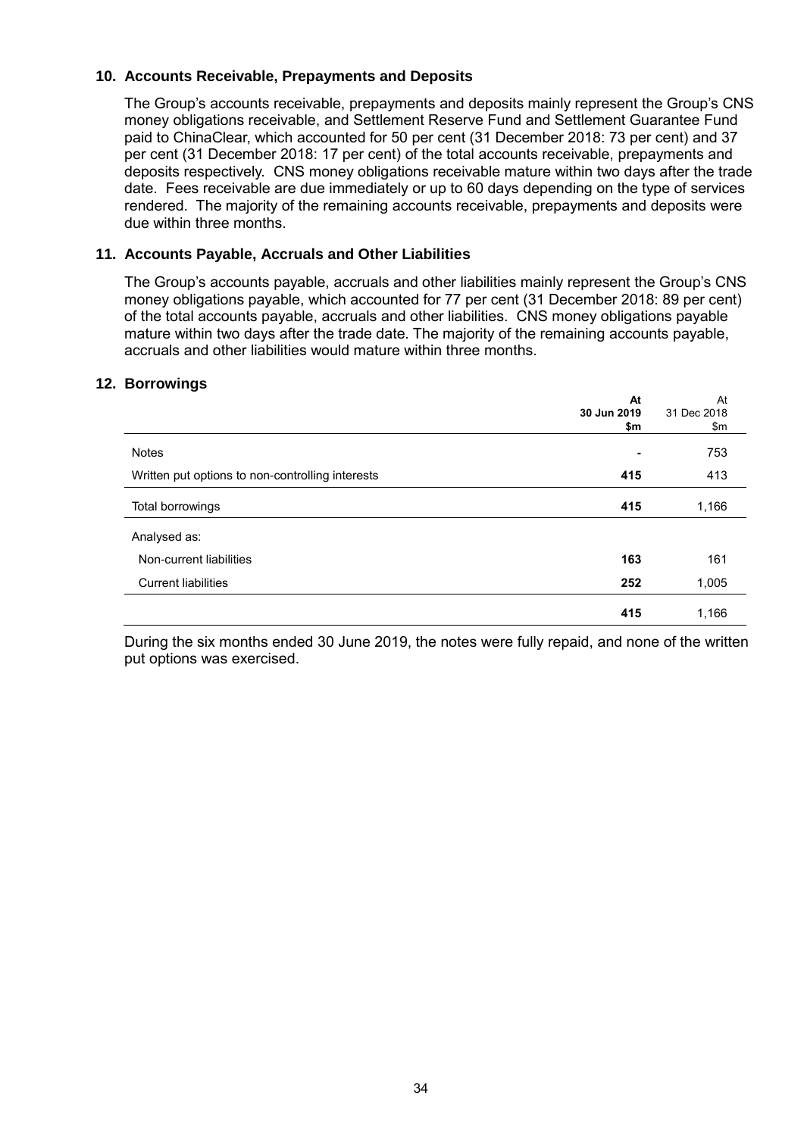## **10. Accounts Receivable, Prepayments and Deposits**

The Group's accounts receivable, prepayments and deposits mainly represent the Group's CNS money obligations receivable, and Settlement Reserve Fund and Settlement Guarantee Fund paid to ChinaClear, which accounted for 50 per cent (31 December 2018: 73 per cent) and 37 per cent (31 December 2018: 17 per cent) of the total accounts receivable, prepayments and deposits respectively. CNS money obligations receivable mature within two days after the trade date. Fees receivable are due immediately or up to 60 days depending on the type of services rendered. The majority of the remaining accounts receivable, prepayments and deposits were due within three months.

## **11. Accounts Payable, Accruals and Other Liabilities**

The Group's accounts payable, accruals and other liabilities mainly represent the Group's CNS money obligations payable, which accounted for 77 per cent (31 December 2018: 89 per cent) of the total accounts payable, accruals and other liabilities. CNS money obligations payable mature within two days after the trade date. The majority of the remaining accounts payable, accruals and other liabilities would mature within three months.

## **12. Borrowings**

|                                                  | At          | At          |
|--------------------------------------------------|-------------|-------------|
|                                                  | 30 Jun 2019 | 31 Dec 2018 |
|                                                  | \$m         | \$m         |
| <b>Notes</b>                                     | -           | 753         |
| Written put options to non-controlling interests | 415         | 413         |
| Total borrowings                                 | 415         | 1,166       |
| Analysed as:                                     |             |             |
| Non-current liabilities                          | 163         | 161         |
| <b>Current liabilities</b>                       | 252         | 1,005       |
|                                                  | 415         | 1,166       |

During the six months ended 30 June 2019, the notes were fully repaid, and none of the written put options was exercised.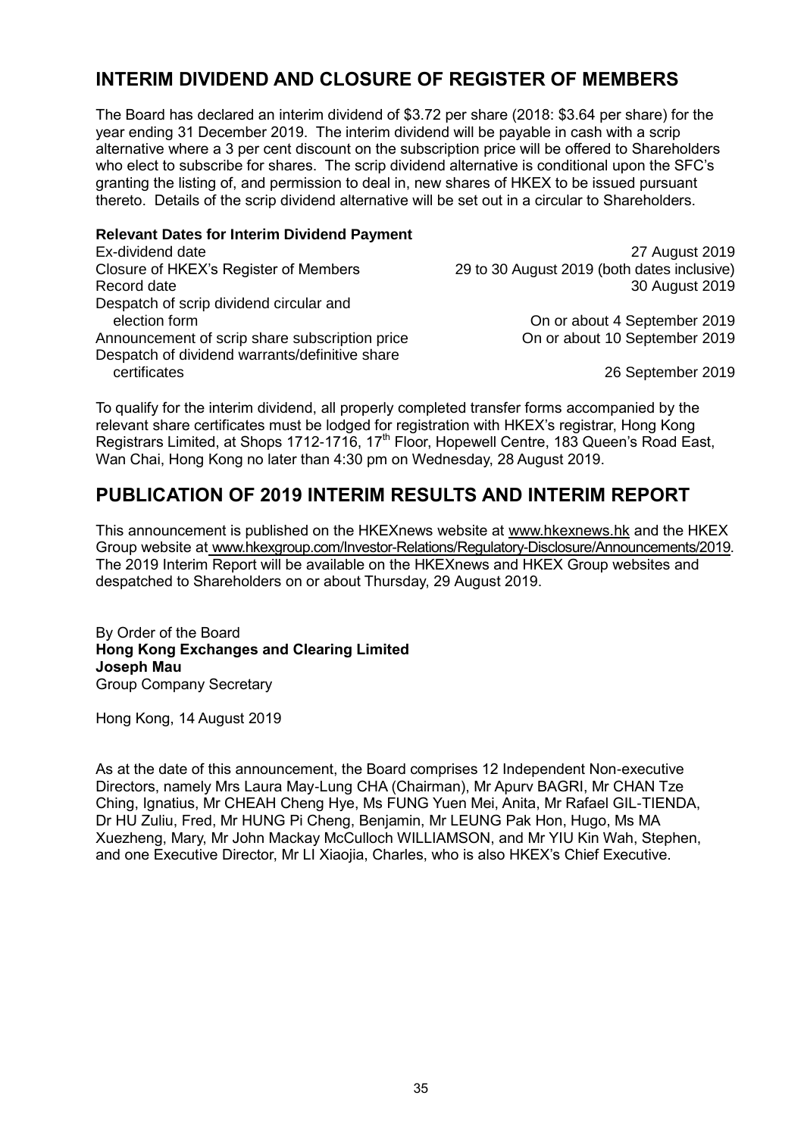## **INTERIM DIVIDEND AND CLOSURE OF REGISTER OF MEMBERS**

The Board has declared an interim dividend of \$3.72 per share (2018: \$3.64 per share) for the year ending 31 December 2019. The interim dividend will be payable in cash with a scrip alternative where a 3 per cent discount on the subscription price will be offered to Shareholders who elect to subscribe for shares. The scrip dividend alternative is conditional upon the SFC's granting the listing of, and permission to deal in, new shares of HKEX to be issued pursuant thereto. Details of the scrip dividend alternative will be set out in a circular to Shareholders.

#### **Relevant Dates for Interim Dividend Payment** Ex-dividend date 27 August 2019 Closure of HKEX's Register of Members 29 to 30 August 2019 (both dates inclusive) Record date 30 August 2019 Despatch of scrip dividend circular and election form On or about 4 September 2019 Announcement of scrip share subscription price On or about 10 September 2019 Despatch of dividend warrants/definitive share certificates 2019

To qualify for the interim dividend, all properly completed transfer forms accompanied by the relevant share certificates must be lodged for registration with HKEX's registrar, Hong Kong Registrars Limited, at Shops 1712-1716, 17<sup>th</sup> Floor, Hopewell Centre, 183 Queen's Road East, Wan Chai, Hong Kong no later than 4:30 pm on Wednesday, 28 August 2019.

## **PUBLICATION OF 2019 INTERIM RESULTS AND INTERIM REPORT**

This announcement is published on the HKEXnews website at [www.hkexnews.hk](http://www.hkexnews.hk/) and the HKEX Group website at [www.hkexgroup.com/Investor-Relations/Regulatory-Disclosure/Announcements/2019.](https://www.hkexgroup.com/Investor-Relations/Regulatory-Disclosure/Announcements/2019?sc_lang=eng) The 2019 Interim Report will be available on the HKEXnews and HKEX Group websites and despatched to Shareholders on or about Thursday, 29 August 2019.

By Order of the Board **Hong Kong Exchanges and Clearing Limited Joseph Mau** Group Company Secretary

Hong Kong, 14 August 2019

As at the date of this announcement, the Board comprises 12 Independent Non-executive Directors, namely Mrs Laura May-Lung CHA (Chairman), Mr Apurv BAGRI, Mr CHAN Tze Ching, Ignatius, Mr CHEAH Cheng Hye, Ms FUNG Yuen Mei, Anita, Mr Rafael GIL-TIENDA, Dr HU Zuliu, Fred, Mr HUNG Pi Cheng, Benjamin, Mr LEUNG Pak Hon, Hugo, Ms MA Xuezheng, Mary, Mr John Mackay McCulloch WILLIAMSON, and Mr YIU Kin Wah, Stephen, and one Executive Director, Mr LI Xiaojia, Charles, who is also HKEX's Chief Executive.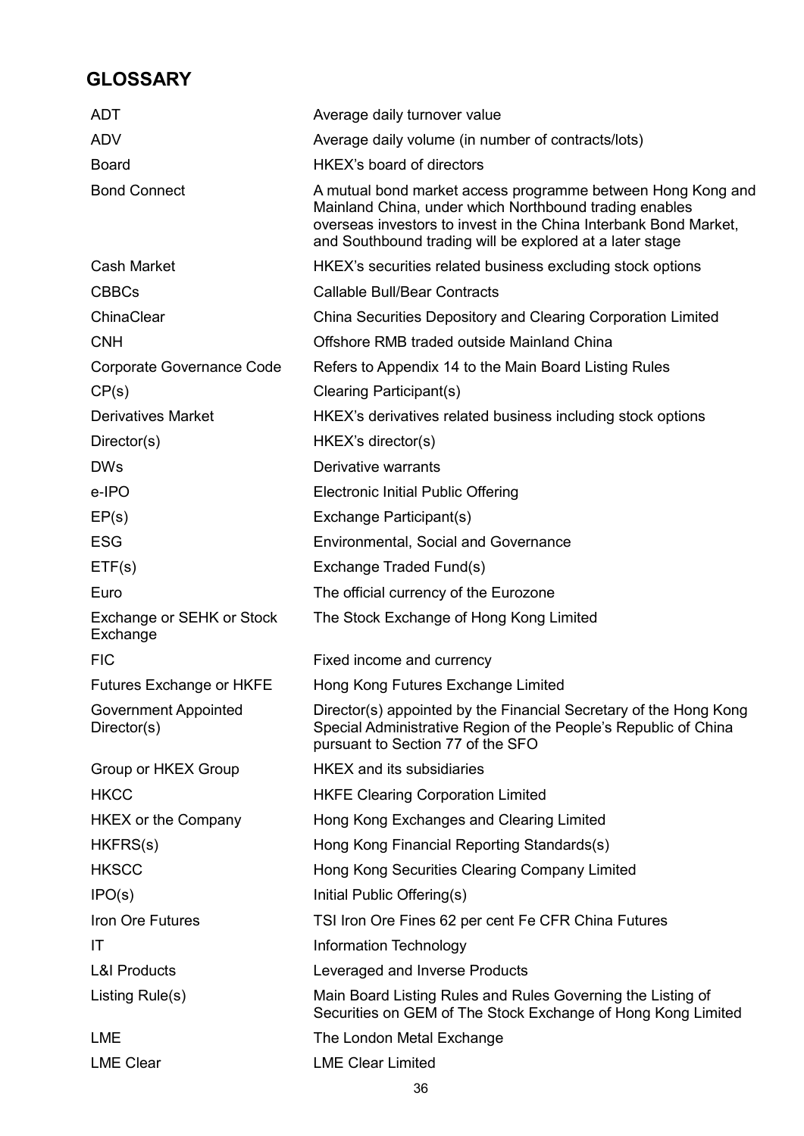# **GLOSSARY**

| <b>ADT</b>                            | Average daily turnover value                                                                                                                                                                                                                          |
|---------------------------------------|-------------------------------------------------------------------------------------------------------------------------------------------------------------------------------------------------------------------------------------------------------|
| <b>ADV</b>                            | Average daily volume (in number of contracts/lots)                                                                                                                                                                                                    |
| <b>Board</b>                          | <b>HKEX's board of directors</b>                                                                                                                                                                                                                      |
| <b>Bond Connect</b>                   | A mutual bond market access programme between Hong Kong and<br>Mainland China, under which Northbound trading enables<br>overseas investors to invest in the China Interbank Bond Market,<br>and Southbound trading will be explored at a later stage |
| <b>Cash Market</b>                    | HKEX's securities related business excluding stock options                                                                                                                                                                                            |
| <b>CBBCs</b>                          | <b>Callable Bull/Bear Contracts</b>                                                                                                                                                                                                                   |
| ChinaClear                            | China Securities Depository and Clearing Corporation Limited                                                                                                                                                                                          |
| <b>CNH</b>                            | Offshore RMB traded outside Mainland China                                                                                                                                                                                                            |
| Corporate Governance Code             | Refers to Appendix 14 to the Main Board Listing Rules                                                                                                                                                                                                 |
| CP(s)                                 | Clearing Participant(s)                                                                                                                                                                                                                               |
| <b>Derivatives Market</b>             | HKEX's derivatives related business including stock options                                                                                                                                                                                           |
| Director(s)                           | HKEX's director(s)                                                                                                                                                                                                                                    |
| <b>DWs</b>                            | Derivative warrants                                                                                                                                                                                                                                   |
| e-IPO                                 | <b>Electronic Initial Public Offering</b>                                                                                                                                                                                                             |
| EP(s)                                 | Exchange Participant(s)                                                                                                                                                                                                                               |
| <b>ESG</b>                            | <b>Environmental, Social and Governance</b>                                                                                                                                                                                                           |
| ETF(s)                                | Exchange Traded Fund(s)                                                                                                                                                                                                                               |
| Euro                                  | The official currency of the Eurozone                                                                                                                                                                                                                 |
| Exchange or SEHK or Stock<br>Exchange | The Stock Exchange of Hong Kong Limited                                                                                                                                                                                                               |
| <b>FIC</b>                            | Fixed income and currency                                                                                                                                                                                                                             |
| Futures Exchange or HKFE              | Hong Kong Futures Exchange Limited                                                                                                                                                                                                                    |
| Government Appointed<br>Director(s)   | Director(s) appointed by the Financial Secretary of the Hong Kong<br>Special Administrative Region of the People's Republic of China<br>pursuant to Section 77 of the SFO                                                                             |
| Group or HKEX Group                   | <b>HKEX</b> and its subsidiaries                                                                                                                                                                                                                      |
| <b>HKCC</b>                           | <b>HKFE Clearing Corporation Limited</b>                                                                                                                                                                                                              |
| <b>HKEX or the Company</b>            | Hong Kong Exchanges and Clearing Limited                                                                                                                                                                                                              |
| HKFRS(s)                              | Hong Kong Financial Reporting Standards(s)                                                                                                                                                                                                            |
| <b>HKSCC</b>                          | Hong Kong Securities Clearing Company Limited                                                                                                                                                                                                         |
| IPO(s)                                | Initial Public Offering(s)                                                                                                                                                                                                                            |
| Iron Ore Futures                      | TSI Iron Ore Fines 62 per cent Fe CFR China Futures                                                                                                                                                                                                   |
| IT                                    | Information Technology                                                                                                                                                                                                                                |
| <b>L&amp;I Products</b>               | Leveraged and Inverse Products                                                                                                                                                                                                                        |
| Listing Rule(s)                       | Main Board Listing Rules and Rules Governing the Listing of<br>Securities on GEM of The Stock Exchange of Hong Kong Limited                                                                                                                           |
| <b>LME</b>                            | The London Metal Exchange                                                                                                                                                                                                                             |
| <b>LME Clear</b>                      | <b>LME Clear Limited</b>                                                                                                                                                                                                                              |